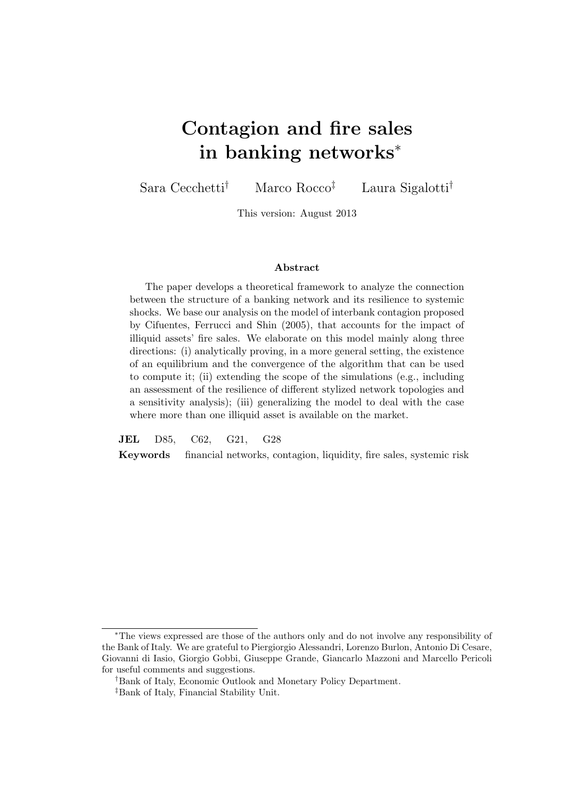# Contagion and fire sales in banking networks<sup>∗</sup>

Sara Cecchetti† Marco Rocco‡ Laura Sigalotti†

This version: August 2013

#### Abstract

The paper develops a theoretical framework to analyze the connection between the structure of a banking network and its resilience to systemic shocks. We base our analysis on the model of interbank contagion proposed by Cifuentes, Ferrucci and Shin (2005), that accounts for the impact of illiquid assets' fire sales. We elaborate on this model mainly along three directions: (i) analytically proving, in a more general setting, the existence of an equilibrium and the convergence of the algorithm that can be used to compute it; (ii) extending the scope of the simulations (e.g., including an assessment of the resilience of different stylized network topologies and a sensitivity analysis); (iii) generalizing the model to deal with the case where more than one illiquid asset is available on the market.

JEL D85, C62, G21, G28

Keywords financial networks, contagion, liquidity, fire sales, systemic risk

<sup>∗</sup>The views expressed are those of the authors only and do not involve any responsibility of the Bank of Italy. We are grateful to Piergiorgio Alessandri, Lorenzo Burlon, Antonio Di Cesare, Giovanni di Iasio, Giorgio Gobbi, Giuseppe Grande, Giancarlo Mazzoni and Marcello Pericoli for useful comments and suggestions.

<sup>†</sup>Bank of Italy, Economic Outlook and Monetary Policy Department.

<sup>‡</sup>Bank of Italy, Financial Stability Unit.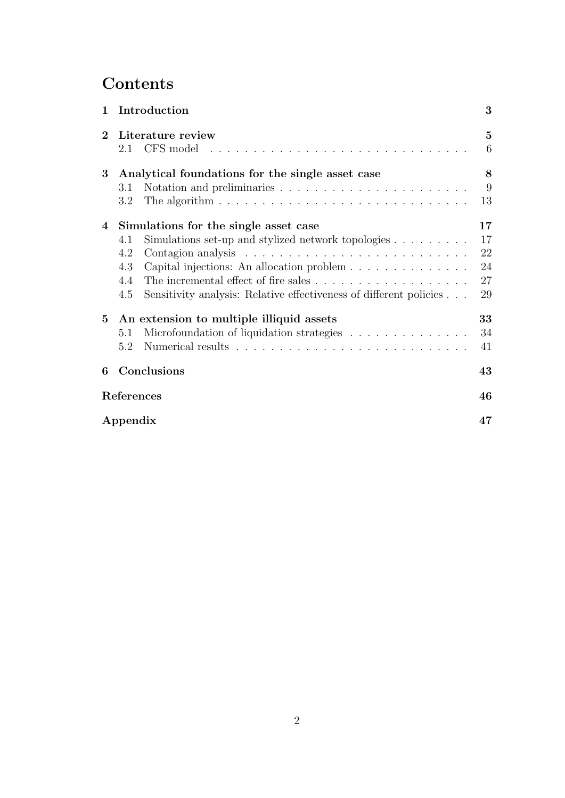## **Contents**

| $\mathbf{1}$    | Introduction                                     |                                                                                       |    |  |  |  |
|-----------------|--------------------------------------------------|---------------------------------------------------------------------------------------|----|--|--|--|
| $\bf{2}$        | Literature review<br>CFS model<br>2.1            |                                                                                       |    |  |  |  |
| 3               | Analytical foundations for the single asset case |                                                                                       |    |  |  |  |
|                 | 3.1                                              |                                                                                       | 9  |  |  |  |
|                 | 3.2                                              | The algorithm $\ldots \ldots \ldots \ldots \ldots \ldots \ldots \ldots \ldots \ldots$ | 13 |  |  |  |
| 4               | Simulations for the single asset case            |                                                                                       |    |  |  |  |
|                 | 4.1                                              | Simulations set-up and stylized network topologies                                    | 17 |  |  |  |
|                 | 4.2                                              |                                                                                       | 22 |  |  |  |
|                 | 4.3                                              |                                                                                       | 24 |  |  |  |
|                 | 4.4                                              |                                                                                       | 27 |  |  |  |
|                 | 4.5                                              | Sensitivity analysis: Relative effectiveness of different policies                    | 29 |  |  |  |
| $5\overline{)}$ | An extension to multiple illiquid assets         |                                                                                       |    |  |  |  |
|                 | 5.1                                              | Microfoundation of liquidation strategies                                             | 34 |  |  |  |
|                 | 5.2                                              |                                                                                       | 41 |  |  |  |
| 6               | Conclusions                                      |                                                                                       |    |  |  |  |
|                 |                                                  | References                                                                            | 46 |  |  |  |
|                 | Appendix                                         |                                                                                       | 47 |  |  |  |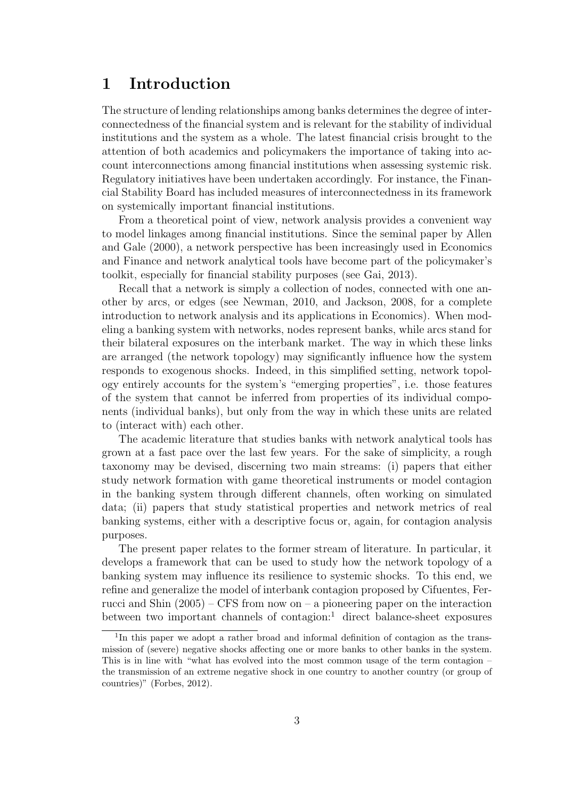### 1 Introduction

The structure of lending relationships among banks determines the degree of interconnectedness of the financial system and is relevant for the stability of individual institutions and the system as a whole. The latest financial crisis brought to the attention of both academics and policymakers the importance of taking into account interconnections among financial institutions when assessing systemic risk. Regulatory initiatives have been undertaken accordingly. For instance, the Financial Stability Board has included measures of interconnectedness in its framework on systemically important financial institutions.

From a theoretical point of view, network analysis provides a convenient way to model linkages among financial institutions. Since the seminal paper by Allen and Gale (2000), a network perspective has been increasingly used in Economics and Finance and network analytical tools have become part of the policymaker's toolkit, especially for financial stability purposes (see Gai, 2013).

Recall that a network is simply a collection of nodes, connected with one another by arcs, or edges (see Newman, 2010, and Jackson, 2008, for a complete introduction to network analysis and its applications in Economics). When modeling a banking system with networks, nodes represent banks, while arcs stand for their bilateral exposures on the interbank market. The way in which these links are arranged (the network topology) may significantly influence how the system responds to exogenous shocks. Indeed, in this simplified setting, network topology entirely accounts for the system's "emerging properties", i.e. those features of the system that cannot be inferred from properties of its individual components (individual banks), but only from the way in which these units are related to (interact with) each other.

The academic literature that studies banks with network analytical tools has grown at a fast pace over the last few years. For the sake of simplicity, a rough taxonomy may be devised, discerning two main streams: (i) papers that either study network formation with game theoretical instruments or model contagion in the banking system through different channels, often working on simulated data; (ii) papers that study statistical properties and network metrics of real banking systems, either with a descriptive focus or, again, for contagion analysis purposes.

The present paper relates to the former stream of literature. In particular, it develops a framework that can be used to study how the network topology of a banking system may influence its resilience to systemic shocks. To this end, we refine and generalize the model of interbank contagion proposed by Cifuentes, Ferrucci and Shin  $(2005)$  – CFS from now on – a pioneering paper on the interaction between two important channels of contagion: $\frac{1}{1}$  direct balance-sheet exposures

<sup>&</sup>lt;sup>1</sup>In this paper we adopt a rather broad and informal definition of contagion as the transmission of (severe) negative shocks affecting one or more banks to other banks in the system. This is in line with "what has evolved into the most common usage of the term contagion – the transmission of an extreme negative shock in one country to another country (or group of countries)" (Forbes, 2012).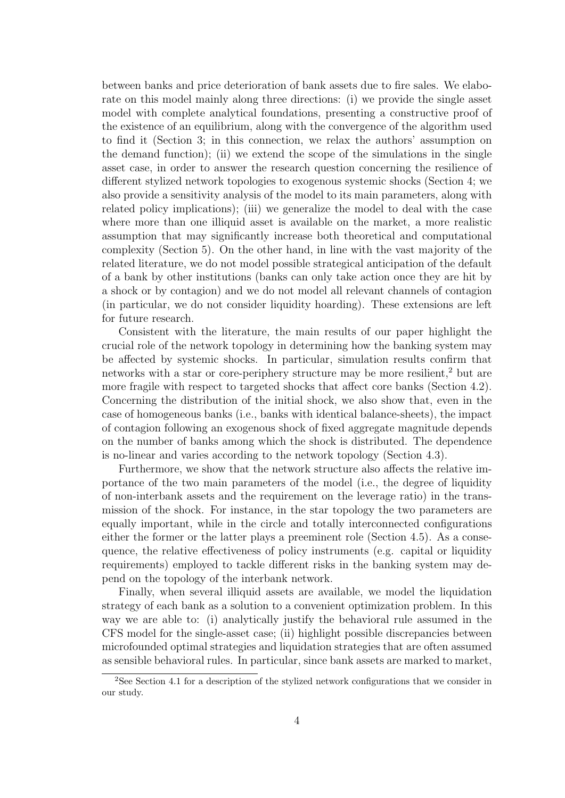between banks and price deterioration of bank assets due to fire sales. We elaborate on this model mainly along three directions: (i) we provide the single asset model with complete analytical foundations, presenting a constructive proof of the existence of an equilibrium, along with the convergence of the algorithm used to find it (Section 3; in this connection, we relax the authors' assumption on the demand function); (ii) we extend the scope of the simulations in the single asset case, in order to answer the research question concerning the resilience of different stylized network topologies to exogenous systemic shocks (Section 4; we also provide a sensitivity analysis of the model to its main parameters, along with related policy implications); (iii) we generalize the model to deal with the case where more than one illiquid asset is available on the market, a more realistic assumption that may significantly increase both theoretical and computational complexity (Section 5). On the other hand, in line with the vast majority of the related literature, we do not model possible strategical anticipation of the default of a bank by other institutions (banks can only take action once they are hit by a shock or by contagion) and we do not model all relevant channels of contagion (in particular, we do not consider liquidity hoarding). These extensions are left for future research.

Consistent with the literature, the main results of our paper highlight the crucial role of the network topology in determining how the banking system may be affected by systemic shocks. In particular, simulation results confirm that networks with a star or core-periphery structure may be more resilient,<sup>2</sup> but are more fragile with respect to targeted shocks that affect core banks (Section 4.2). Concerning the distribution of the initial shock, we also show that, even in the case of homogeneous banks (i.e., banks with identical balance-sheets), the impact of contagion following an exogenous shock of fixed aggregate magnitude depends on the number of banks among which the shock is distributed. The dependence is no-linear and varies according to the network topology (Section 4.3).

Furthermore, we show that the network structure also affects the relative importance of the two main parameters of the model (i.e., the degree of liquidity of non-interbank assets and the requirement on the leverage ratio) in the transmission of the shock. For instance, in the star topology the two parameters are equally important, while in the circle and totally interconnected configurations either the former or the latter plays a preeminent role (Section 4.5). As a consequence, the relative effectiveness of policy instruments (e.g. capital or liquidity requirements) employed to tackle different risks in the banking system may depend on the topology of the interbank network.

Finally, when several illiquid assets are available, we model the liquidation strategy of each bank as a solution to a convenient optimization problem. In this way we are able to: (i) analytically justify the behavioral rule assumed in the CFS model for the single-asset case; (ii) highlight possible discrepancies between microfounded optimal strategies and liquidation strategies that are often assumed as sensible behavioral rules. In particular, since bank assets are marked to market,

<sup>2</sup>See Section 4.1 for a description of the stylized network configurations that we consider in our study.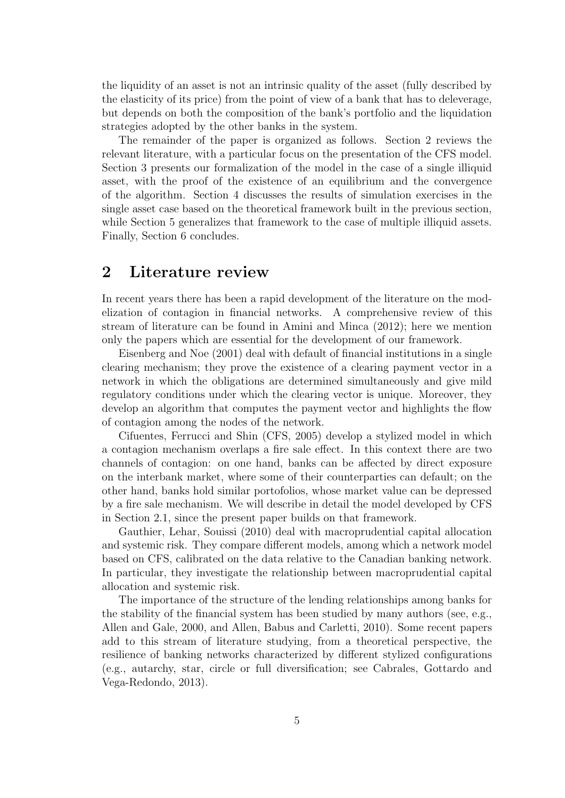the liquidity of an asset is not an intrinsic quality of the asset (fully described by the elasticity of its price) from the point of view of a bank that has to deleverage, but depends on both the composition of the bank's portfolio and the liquidation strategies adopted by the other banks in the system.

The remainder of the paper is organized as follows. Section 2 reviews the relevant literature, with a particular focus on the presentation of the CFS model. Section 3 presents our formalization of the model in the case of a single illiquid asset, with the proof of the existence of an equilibrium and the convergence of the algorithm. Section 4 discusses the results of simulation exercises in the single asset case based on the theoretical framework built in the previous section, while Section 5 generalizes that framework to the case of multiple illiquid assets. Finally, Section 6 concludes.

### 2 Literature review

In recent years there has been a rapid development of the literature on the modelization of contagion in financial networks. A comprehensive review of this stream of literature can be found in Amini and Minca (2012); here we mention only the papers which are essential for the development of our framework.

Eisenberg and Noe (2001) deal with default of financial institutions in a single clearing mechanism; they prove the existence of a clearing payment vector in a network in which the obligations are determined simultaneously and give mild regulatory conditions under which the clearing vector is unique. Moreover, they develop an algorithm that computes the payment vector and highlights the flow of contagion among the nodes of the network.

Cifuentes, Ferrucci and Shin (CFS, 2005) develop a stylized model in which a contagion mechanism overlaps a fire sale effect. In this context there are two channels of contagion: on one hand, banks can be affected by direct exposure on the interbank market, where some of their counterparties can default; on the other hand, banks hold similar portofolios, whose market value can be depressed by a fire sale mechanism. We will describe in detail the model developed by CFS in Section 2.1, since the present paper builds on that framework.

Gauthier, Lehar, Souissi (2010) deal with macroprudential capital allocation and systemic risk. They compare different models, among which a network model based on CFS, calibrated on the data relative to the Canadian banking network. In particular, they investigate the relationship between macroprudential capital allocation and systemic risk.

The importance of the structure of the lending relationships among banks for the stability of the financial system has been studied by many authors (see, e.g., Allen and Gale, 2000, and Allen, Babus and Carletti, 2010). Some recent papers add to this stream of literature studying, from a theoretical perspective, the resilience of banking networks characterized by different stylized configurations (e.g., autarchy, star, circle or full diversification; see Cabrales, Gottardo and Vega-Redondo, 2013).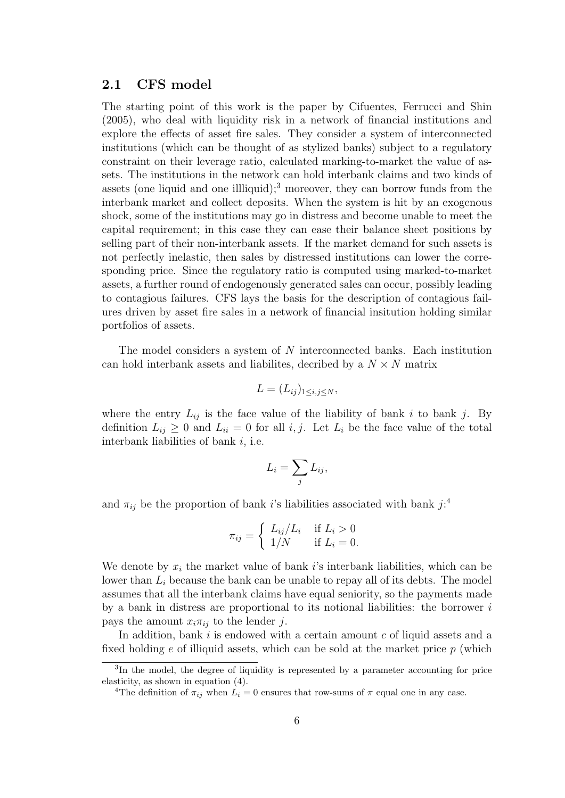#### 2.1 CFS model

The starting point of this work is the paper by Cifuentes, Ferrucci and Shin (2005), who deal with liquidity risk in a network of financial institutions and explore the effects of asset fire sales. They consider a system of interconnected institutions (which can be thought of as stylized banks) subject to a regulatory constraint on their leverage ratio, calculated marking-to-market the value of assets. The institutions in the network can hold interbank claims and two kinds of assets (one liquid and one illliquid);<sup>3</sup> moreover, they can borrow funds from the interbank market and collect deposits. When the system is hit by an exogenous shock, some of the institutions may go in distress and become unable to meet the capital requirement; in this case they can ease their balance sheet positions by selling part of their non-interbank assets. If the market demand for such assets is not perfectly inelastic, then sales by distressed institutions can lower the corresponding price. Since the regulatory ratio is computed using marked-to-market assets, a further round of endogenously generated sales can occur, possibly leading to contagious failures. CFS lays the basis for the description of contagious failures driven by asset fire sales in a network of financial insitution holding similar portfolios of assets.

The model considers a system of N interconnected banks. Each institution can hold interbank assets and liabilites, decribed by a  $N \times N$  matrix

$$
L=(L_{ij})_{1\leq i,j\leq N},
$$

where the entry  $L_{ij}$  is the face value of the liability of bank i to bank j. By definition  $L_{ij} \geq 0$  and  $L_{ii} = 0$  for all i, j. Let  $L_i$  be the face value of the total interbank liabilities of bank  $i$ , i.e.

$$
L_i = \sum_j L_{ij},
$$

and  $\pi_{ij}$  be the proportion of bank i's liabilities associated with bank  $j:$ <sup>4</sup>

$$
\pi_{ij} = \begin{cases} L_{ij}/L_i & \text{if } L_i > 0 \\ 1/N & \text{if } L_i = 0. \end{cases}
$$

We denote by  $x_i$  the market value of bank i's interbank liabilities, which can be lower than  $L_i$  because the bank can be unable to repay all of its debts. The model assumes that all the interbank claims have equal seniority, so the payments made by a bank in distress are proportional to its notional liabilities: the borrower  $i$ pays the amount  $x_i \pi_{ij}$  to the lender j.

In addition, bank i is endowed with a certain amount  $c$  of liquid assets and a fixed holding e of illiquid assets, which can be sold at the market price  $p$  (which

<sup>&</sup>lt;sup>3</sup>In the model, the degree of liquidity is represented by a parameter accounting for price elasticity, as shown in equation (4).

<sup>&</sup>lt;sup>4</sup>The definition of  $\pi_{ij}$  when  $L_i = 0$  ensures that row-sums of  $\pi$  equal one in any case.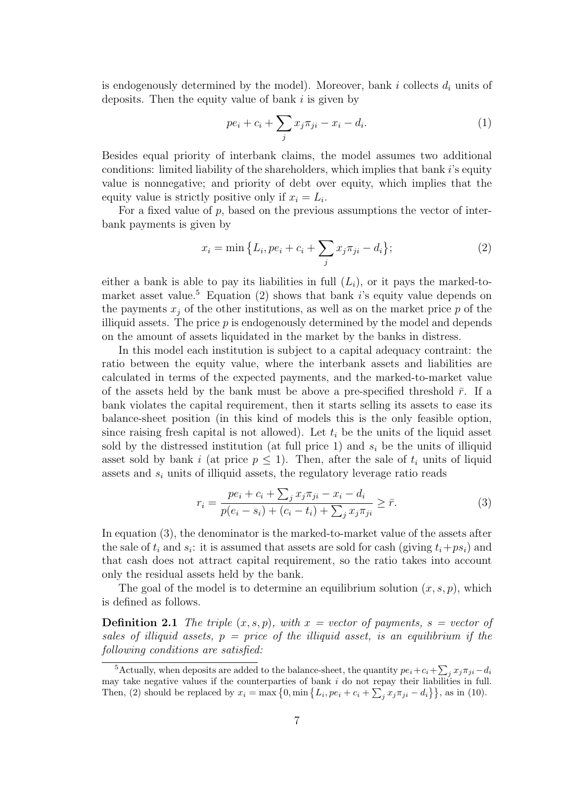is endogenously determined by the model). Moreover, bank i collects  $d_i$  units of deposits. Then the equity value of bank  $i$  is given by

$$
pe_i + c_i + \sum_j x_j \pi_{ji} - x_i - d_i.
$$
 (1)

Besides equal priority of interbank claims, the model assumes two additional conditions: limited liability of the shareholders, which implies that bank  $i$ 's equity value is nonnegative; and priority of debt over equity, which implies that the equity value is strictly positive only if  $x_i = L_i$ .

For a fixed value of  $p$ , based on the previous assumptions the vector of interbank payments is given by

$$
x_i = \min\left\{L_i, pe_i + c_i + \sum_j x_j \pi_{ji} - d_i\right\};\tag{2}
$$

either a bank is able to pay its liabilities in full  $(L_i)$ , or it pays the marked-tomarket asset value.<sup>5</sup> Equation (2) shows that bank i's equity value depends on the payments  $x_i$  of the other institutions, as well as on the market price p of the illiquid assets. The price  $p$  is endogenously determined by the model and depends on the amount of assets liquidated in the market by the banks in distress.

In this model each institution is subject to a capital adequacy contraint: the ratio between the equity value, where the interbank assets and liabilities are calculated in terms of the expected payments, and the marked-to-market value of the assets held by the bank must be above a pre-specified threshold  $\bar{r}$ . If a bank violates the capital requirement, then it starts selling its assets to ease its balance-sheet position (in this kind of models this is the only feasible option, since raising fresh capital is not allowed). Let  $t_i$  be the units of the liquid asset sold by the distressed institution (at full price 1) and  $s_i$  be the units of illiquid asset sold by bank i (at price  $p \leq 1$ ). Then, after the sale of  $t_i$  units of liquid assets and  $s_i$  units of illiquid assets, the regulatory leverage ratio reads

$$
r_i = \frac{pe_i + c_i + \sum_j x_j \pi_{ji} - x_i - d_i}{p(e_i - s_i) + (c_i - t_i) + \sum_j x_j \pi_{ji}} \ge \bar{r}.
$$
\n(3)

In equation (3), the denominator is the marked-to-market value of the assets after the sale of  $t_i$  and  $s_i$ : it is assumed that assets are sold for cash (giving  $t_i+ps_i$ ) and that cash does not attract capital requirement, so the ratio takes into account only the residual assets held by the bank.

The goal of the model is to determine an equilibrium solution  $(x, s, p)$ , which is defined as follows.

**Definition 2.1** The triple  $(x, s, p)$ , with  $x = vector$  of payments,  $s = vector$  of sales of illiquid assets,  $p = price$  of the illiquid asset, is an equilibrium if the following conditions are satisfied:

<sup>&</sup>lt;sup>5</sup>Actually, when deposits are added to the balance-sheet, the quantity  $pe_i + c_i + \sum_j x_j \pi_{ji} - d_i$ may take negative values if the counterparties of bank  $i$  do not repay their liabilities in full. Then, (2) should be replaced by  $x_i = \max\left\{0, \min\left\{L_i, pe_i + c_i + \sum_j x_j \pi_{ji} - d_i\right\}\right\}$ , as in (10).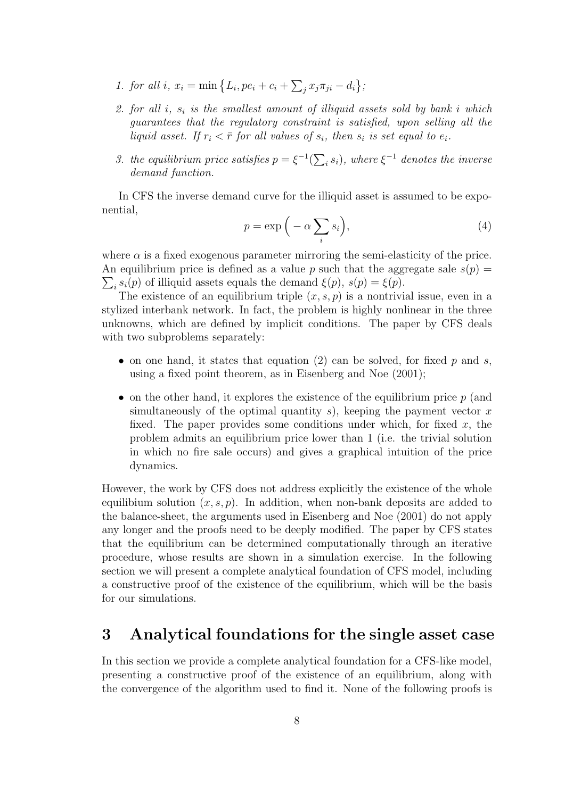- 1. for all i,  $x_i = \min\{L_i, pe_i + c_i + \sum_j x_j \pi_{ji} d_i\};$
- 2. for all i,  $s_i$  is the smallest amount of illiquid assets sold by bank i which guarantees that the regulatory constraint is satisfied, upon selling all the liquid asset. If  $r_i < \bar{r}$  for all values of  $s_i$ , then  $s_i$  is set equal to  $e_i$ .
- 3. the equilibrium price satisfies  $p = \xi^{-1}(\sum_i s_i)$ , where  $\xi^{-1}$  denotes the inverse demand function.

In CFS the inverse demand curve for the illiquid asset is assumed to be exponential,

$$
p = \exp\left(-\alpha \sum_{i} s_i\right),\tag{4}
$$

where  $\alpha$  is a fixed exogenous parameter mirroring the semi-elasticity of the price. An equilibrium price is defined as a value p such that the aggregate sale  $s(p)$  $\sum_i s_i(p)$  of illiquid assets equals the demand  $\xi(p)$ ,  $s(p) = \xi(p)$ .

The existence of an equilibrium triple  $(x, s, p)$  is a nontrivial issue, even in a stylized interbank network. In fact, the problem is highly nonlinear in the three unknowns, which are defined by implicit conditions. The paper by CFS deals with two subproblems separately:

- on one hand, it states that equation (2) can be solved, for fixed p and s, using a fixed point theorem, as in Eisenberg and Noe (2001);
- on the other hand, it explores the existence of the equilibrium price  $p$  (and simultaneously of the optimal quantity s), keeping the payment vector x fixed. The paper provides some conditions under which, for fixed  $x$ , the problem admits an equilibrium price lower than 1 (i.e. the trivial solution in which no fire sale occurs) and gives a graphical intuition of the price dynamics.

However, the work by CFS does not address explicitly the existence of the whole equilibium solution  $(x, s, p)$ . In addition, when non-bank deposits are added to the balance-sheet, the arguments used in Eisenberg and Noe (2001) do not apply any longer and the proofs need to be deeply modified. The paper by CFS states that the equilibrium can be determined computationally through an iterative procedure, whose results are shown in a simulation exercise. In the following section we will present a complete analytical foundation of CFS model, including a constructive proof of the existence of the equilibrium, which will be the basis for our simulations.

### 3 Analytical foundations for the single asset case

In this section we provide a complete analytical foundation for a CFS-like model, presenting a constructive proof of the existence of an equilibrium, along with the convergence of the algorithm used to find it. None of the following proofs is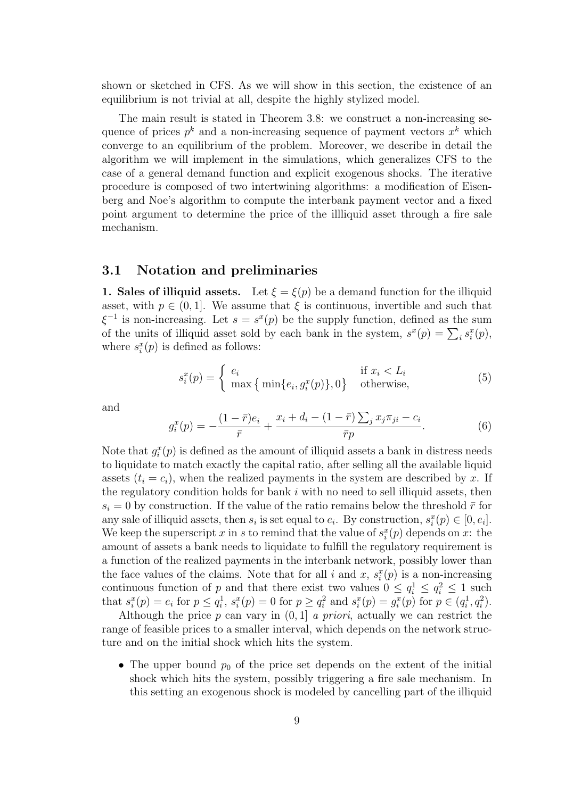shown or sketched in CFS. As we will show in this section, the existence of an equilibrium is not trivial at all, despite the highly stylized model.

The main result is stated in Theorem 3.8: we construct a non-increasing sequence of prices  $p^k$  and a non-increasing sequence of payment vectors  $x^k$  which converge to an equilibrium of the problem. Moreover, we describe in detail the algorithm we will implement in the simulations, which generalizes CFS to the case of a general demand function and explicit exogenous shocks. The iterative procedure is composed of two intertwining algorithms: a modification of Eisenberg and Noe's algorithm to compute the interbank payment vector and a fixed point argument to determine the price of the illliquid asset through a fire sale mechanism.

#### 3.1 Notation and preliminaries

1. Sales of illiquid assets. Let  $\xi = \xi(p)$  be a demand function for the illiquid asset, with  $p \in (0, 1]$ . We assume that  $\xi$  is continuous, invertible and such that  $\xi^{-1}$  is non-increasing. Let  $s = s^x(p)$  be the supply function, defined as the sum of the units of illiquid asset sold by each bank in the system,  $s^x(p) = \sum_i s_i^x(p)$ , where  $s_i^x(p)$  is defined as follows:

$$
s_i^x(p) = \begin{cases} e_i & \text{if } x_i < L_i \\ \max \{ \min\{e_i, g_i^x(p)\}, 0 \} & \text{otherwise,} \end{cases} \tag{5}
$$

and

$$
g_i^x(p) = -\frac{(1-\bar{r})e_i}{\bar{r}} + \frac{x_i + d_i - (1-\bar{r})\sum_j x_j \pi_{ji} - c_i}{\bar{r}p}.
$$
 (6)

Note that  $g_i^x(p)$  is defined as the amount of illiquid assets a bank in distress needs to liquidate to match exactly the capital ratio, after selling all the available liquid assets  $(t_i = c_i)$ , when the realized payments in the system are described by x. If the regulatory condition holds for bank  $i$  with no need to sell illiquid assets, then  $s_i = 0$  by construction. If the value of the ratio remains below the threshold  $\bar{r}$  for any sale of illiquid assets, then  $s_i$  is set equal to  $e_i$ . By construction,  $s_i^x(p) \in [0, e_i]$ . We keep the superscript x in s to remind that the value of  $s_i^x(p)$  depends on x: the amount of assets a bank needs to liquidate to fulfill the regulatory requirement is a function of the realized payments in the interbank network, possibly lower than the face values of the claims. Note that for all i and x,  $s_i^x(p)$  is a non-increasing continuous function of p and that there exist two values  $0 \le q_i^1 \le q_i^2 \le 1$  such that  $s_i^x(p) = e_i$  for  $p \le q_i^1$ ,  $s_i^x(p) = 0$  for  $p \ge q_i^2$  and  $s_i^x(p) = g_i^x(p)$  for  $p \in (q_i^1, q_i^2)$ .

Although the price p can vary in  $(0, 1]$  a priori, actually we can restrict the range of feasible prices to a smaller interval, which depends on the network structure and on the initial shock which hits the system.

• The upper bound  $p_0$  of the price set depends on the extent of the initial shock which hits the system, possibly triggering a fire sale mechanism. In this setting an exogenous shock is modeled by cancelling part of the illiquid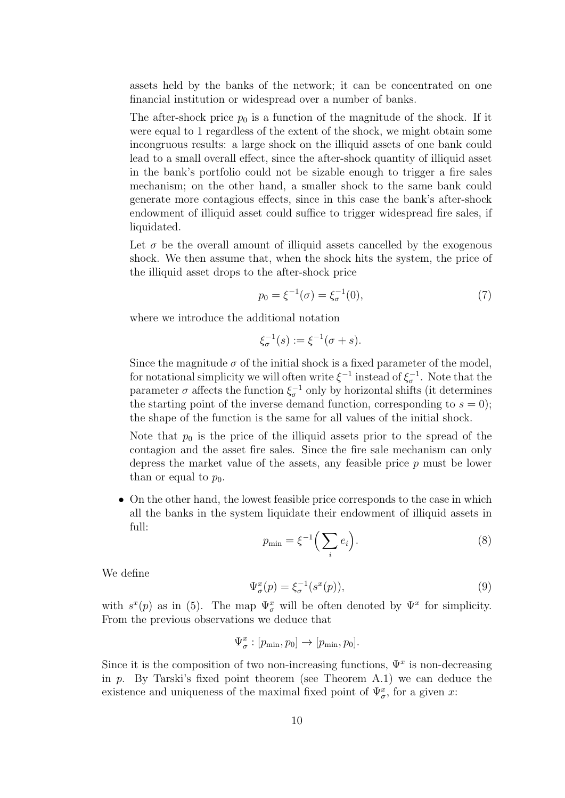assets held by the banks of the network; it can be concentrated on one financial institution or widespread over a number of banks.

The after-shock price  $p_0$  is a function of the magnitude of the shock. If it were equal to 1 regardless of the extent of the shock, we might obtain some incongruous results: a large shock on the illiquid assets of one bank could lead to a small overall effect, since the after-shock quantity of illiquid asset in the bank's portfolio could not be sizable enough to trigger a fire sales mechanism; on the other hand, a smaller shock to the same bank could generate more contagious effects, since in this case the bank's after-shock endowment of illiquid asset could suffice to trigger widespread fire sales, if liquidated.

Let  $\sigma$  be the overall amount of illiquid assets cancelled by the exogenous shock. We then assume that, when the shock hits the system, the price of the illiquid asset drops to the after-shock price

$$
p_0 = \xi^{-1}(\sigma) = \xi_{\sigma}^{-1}(0),\tag{7}
$$

where we introduce the additional notation

$$
\xi_{\sigma}^{-1}(s) := \xi^{-1}(\sigma + s).
$$

Since the magnitude  $\sigma$  of the initial shock is a fixed parameter of the model, for notational simplicity we will often write  $\xi^{-1}$  instead of  $\xi_{\sigma}^{-1}$ . Note that the parameter  $\sigma$  affects the function  $\xi_{\sigma}^{-1}$  only by horizontal shifts (it determines the starting point of the inverse demand function, corresponding to  $s = 0$ ; the shape of the function is the same for all values of the initial shock.

Note that  $p_0$  is the price of the illiquid assets prior to the spread of the contagion and the asset fire sales. Since the fire sale mechanism can only depress the market value of the assets, any feasible price  $p$  must be lower than or equal to  $p_0$ .

• On the other hand, the lowest feasible price corresponds to the case in which all the banks in the system liquidate their endowment of illiquid assets in full:

$$
p_{\min} = \xi^{-1} \Big( \sum_{i} e_i \Big). \tag{8}
$$

We define

$$
\Psi_{\sigma}^{x}(p) = \xi_{\sigma}^{-1}(s^{x}(p)),\tag{9}
$$

with  $s^x(p)$  as in (5). The map  $\Psi^x_{\sigma}$  will be often denoted by  $\Psi^x$  for simplicity. From the previous observations we deduce that

$$
\Psi_\sigma^x:[p_{\min},p_0]\to[p_{\min},p_0].
$$

Since it is the composition of two non-increasing functions,  $\Psi^x$  is non-decreasing in p. By Tarski's fixed point theorem (see Theorem A.1) we can deduce the existence and uniqueness of the maximal fixed point of  $\Psi_{\sigma}^x$ , for a given x: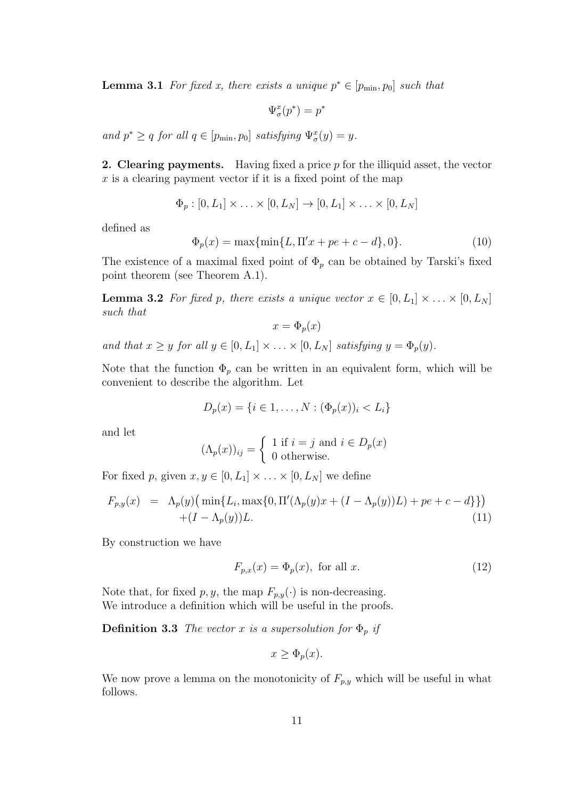**Lemma 3.1** For fixed x, there exists a unique  $p^* \in [p_{\min}, p_0]$  such that

$$
\Psi_\sigma^x(p^*)=p^*
$$

and  $p^* \geq q$  for all  $q \in [p_{\min}, p_0]$  satisfying  $\Psi_{\sigma}^x(y) = y$ .

**2. Clearing payments.** Having fixed a price  $p$  for the illiquid asset, the vector  $x$  is a clearing payment vector if it is a fixed point of the map

$$
\Phi_p : [0, L_1] \times ... \times [0, L_N] \to [0, L_1] \times ... \times [0, L_N]
$$

defined as

$$
\Phi_p(x) = \max\{\min\{L, \Pi'x + pe + c - d\}, 0\}.
$$
\n(10)

The existence of a maximal fixed point of  $\Phi_p$  can be obtained by Tarski's fixed point theorem (see Theorem A.1).

**Lemma 3.2** For fixed p, there exists a unique vector  $x \in [0, L_1] \times ... \times [0, L_N]$ such that

$$
x = \Phi_p(x)
$$

and that  $x \geq y$  for all  $y \in [0, L_1] \times ... \times [0, L_N]$  satisfying  $y = \Phi_p(y)$ .

Note that the function  $\Phi_p$  can be written in an equivalent form, which will be convenient to describe the algorithm. Let

$$
D_p(x) = \{i \in 1, ..., N : (\Phi_p(x))_i < L_i\}
$$

and let

$$
(\Lambda_p(x))_{ij} = \begin{cases} 1 \text{ if } i = j \text{ and } i \in D_p(x) \\ 0 \text{ otherwise.} \end{cases}
$$

For fixed p, given  $x, y \in [0, L_1] \times ... \times [0, L_N]$  we define

$$
F_{p,y}(x) = \Lambda_p(y) \left( \min\{L_i, \max\{0, \Pi'(\Lambda_p(y)x + (I - \Lambda_p(y))L) + pe + c - d\} \} \right) + (I - \Lambda_p(y))L.
$$
\n(11)

By construction we have

$$
F_{p,x}(x) = \Phi_p(x), \text{ for all } x. \tag{12}
$$

Note that, for fixed p, y, the map  $F_{p,y}(\cdot)$  is non-decreasing. We introduce a definition which will be useful in the proofs.

**Definition 3.3** The vector x is a supersolution for  $\Phi_p$  if

$$
x \ge \Phi_p(x).
$$

We now prove a lemma on the monotonicity of  $F_{p,y}$  which will be useful in what follows.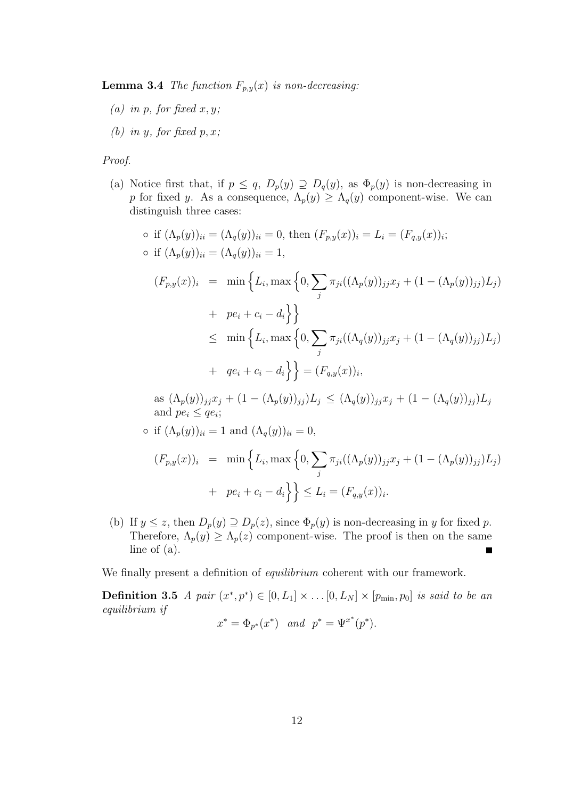**Lemma 3.4** The function  $F_{p,y}(x)$  is non-decreasing:

- (a) in p, for fixed  $x, y$ ;
- (b) in y, for fixed  $p, x$ ;

#### Proof.

(a) Notice first that, if  $p \leq q$ ,  $D_p(y) \supseteq D_q(y)$ , as  $\Phi_p(y)$  is non-decreasing in p for fixed y. As a consequence,  $\Lambda_p(y) \geq \Lambda_q(y)$  component-wise. We can distinguish three cases:

\n- \n
$$
\circ
$$
 if  $(\Lambda_p(y))_{ii} = (\Lambda_q(y))_{ii} = 0$ , then  $(F_{p,y}(x))_i = L_i = (F_{q,y}(x))_i$ ;\n
\n- \n $\circ$  if  $(\Lambda_p(y))_{ii} = (\Lambda_q(y))_{ii} = 1$ ,\n
\n- \n $(F_{p,y}(x))_i = \min \left\{ L_i, \max \left\{ 0, \sum_j \pi_{ji}((\Lambda_p(y))_{jj} x_j + (1 - (\Lambda_p(y))_{jj}) L_j) + pe_i + c_i - d_i \right\} \right\}$ \n $\leq \min \left\{ L_i, \max \left\{ 0, \sum_j \pi_{ji}((\Lambda_q(y))_{jj} x_j + (1 - (\Lambda_q(y))_{jj}) L_j) + q e_i + c_i - d_i \right\} \right\} = (F_{q,y}(x))_i$ ,\n
\n- \n $\circ$  as  $(\Lambda_p(y))_{jj} x_j + (1 - (\Lambda_p(y))_{jj}) L_j \leq (\Lambda_q(y))_{jj} x_j + (1 - (\Lambda_q(y))_{jj}) L_j$  and  $pe_i \leq q e_i$ ;\n
\n- \n $\circ$  if  $(\Lambda_p(y))_{ii} = 1$  and  $(\Lambda_q(y))_{ii} = 0$ ,\n
\n- \n $(F_{p,y}(x))_i = \min \left\{ L_i, \max \left\{ 0, \sum_j \pi_{ji}((\Lambda_p(y))_{jj} x_j + (1 - (\Lambda_p(y))_{jj}) L_j) + pe_i + c_i - d_i \right\} \right\} \leq L_i = (F_{q,y}(x))_i$ .\n
\n

(b) If  $y \leq z$ , then  $D_p(y) \supseteq D_p(z)$ , since  $\Phi_p(y)$  is non-decreasing in y for fixed p. Therefore,  $\Lambda_p(y) \geq \Lambda_p(z)$  component-wise. The proof is then on the same line of (a).

We finally present a definition of *equilibrium* coherent with our framework.

**Definition 3.5** A pair  $(x^*, p^*) \in [0, L_1] \times ... [0, L_N] \times [p_{\min}, p_0]$  is said to be an equilibrium if  $x^* = \Phi_{p^*}(x^*)$  and  $p^* = \Psi^{x^*}(p^*).$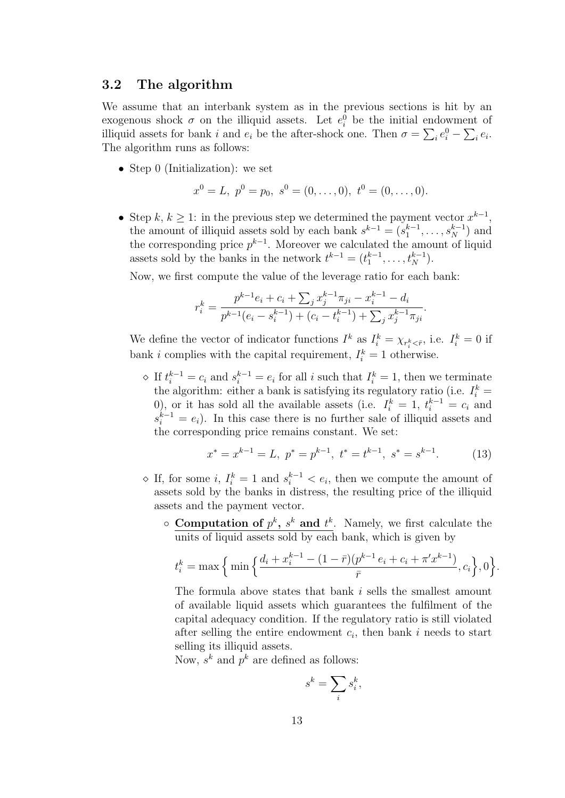#### 3.2 The algorithm

We assume that an interbank system as in the previous sections is hit by an exogenous shock  $\sigma$  on the illiquid assets. Let  $e_i^0$  be the initial endowment of illiquid assets for bank i and  $e_i$  be the after-shock one. Then  $\sigma = \sum_i e_i^0 - \sum_i e_i$ . The algorithm runs as follows:

• Step 0 (Initialization): we set

$$
x^0 = L
$$
,  $p^0 = p_0$ ,  $s^0 = (0, ..., 0)$ ,  $t^0 = (0, ..., 0)$ .

• Step k,  $k \geq 1$ : in the previous step we determined the payment vector  $x^{k-1}$ , the amount of illiquid assets sold by each bank  $s^{k-1} = (s_1^{k-1}, \ldots, s_N^{k-1})$  and the corresponding price  $p^{k-1}$ . Moreover we calculated the amount of liquid assets sold by the banks in the network  $t^{k-1} = (t_1^{k-1}, \ldots, t_N^{k-1})$ .

Now, we first compute the value of the leverage ratio for each bank:

$$
r_i^k = \frac{p^{k-1}e_i + c_i + \sum_j x_j^{k-1} \pi_{ji} - x_i^{k-1} - d_i}{p^{k-1}(e_i - s_i^{k-1}) + (c_i - t_i^{k-1}) + \sum_j x_j^{k-1} \pi_{ji}}.
$$

We define the vector of indicator functions  $I^k$  as  $I_i^k = \chi_{r_i^k \leq \bar{r}}$ , i.e.  $I_i^k = 0$  if bank *i* complies with the capital requirement,  $I_i^k = 1$  otherwise.

 $\Diamond$  If  $t_i^{k-1} = c_i$  and  $s_i^{k-1} = e_i$  for all i such that  $I_i^k = 1$ , then we terminate the algorithm: either a bank is satisfying its regulatory ratio (i.e.  $I_i^k =$ 0), or it has sold all the available assets (i.e.  $I_i^k = 1, t_i^{k-1} = c_i$  and  $s_i^{k-1} = e_i$ ). In this case there is no further sale of illiquid assets and the corresponding price remains constant. We set:

$$
x^* = x^{k-1} = L, \ p^* = p^{k-1}, \ t^* = t^{k-1}, \ s^* = s^{k-1}.
$$
 (13)

- $\Diamond$  If, for some i,  $I_i^k = 1$  and  $s_i^{k-1} < e_i$ , then we compute the amount of assets sold by the banks in distress, the resulting price of the illiquid assets and the payment vector.
	- $\circ$  Computation of  $p^k$ ,  $s^k$  and  $t^k$ . Namely, we first calculate the units of liquid assets sold by each bank, which is given by

$$
t_i^k = \max\left\{\min\left\{\frac{d_i + x_i^{k-1} - (1 - \bar{r})(p^{k-1}e_i + c_i + \pi'x^{k-1})}{\bar{r}}, c_i\right\}, 0\right\}.
$$

The formula above states that bank i sells the smallest amount of available liquid assets which guarantees the fulfilment of the capital adequacy condition. If the regulatory ratio is still violated after selling the entire endowment  $c_i$ , then bank i needs to start selling its illiquid assets.

Now,  $s^k$  and  $p^k$  are defined as follows:

$$
s^k = \sum_i s_i^k,
$$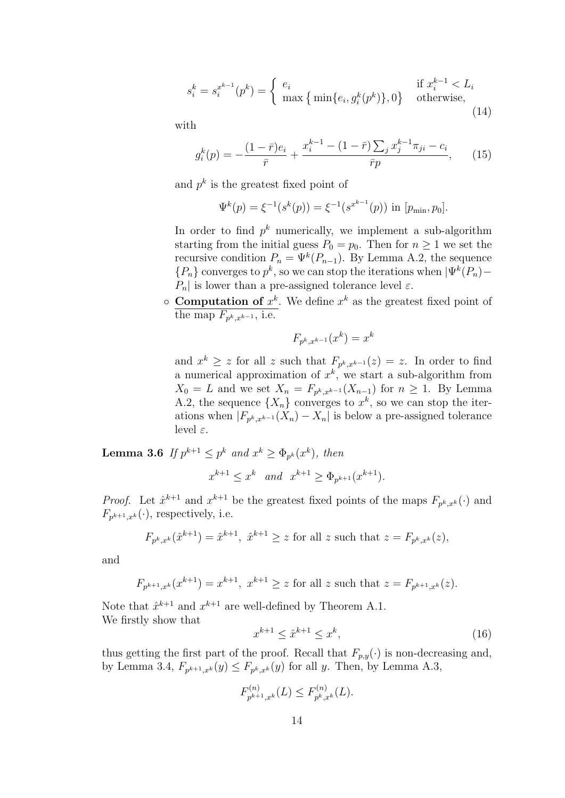$$
s_i^k = s_i^{x^{k-1}}(p^k) = \begin{cases} e_i & \text{if } x_i^{k-1} < L_i \\ \max \{ \min\{e_i, g_i^k(p^k)\}, 0 \} & \text{otherwise,} \end{cases}
$$
\n(14)

with

$$
g_i^k(p) = -\frac{(1-\bar{r})e_i}{\bar{r}} + \frac{x_i^{k-1} - (1-\bar{r})\sum_j x_j^{k-1}\pi_{ji} - c_i}{\bar{r}p},\qquad(15)
$$

and  $p^k$  is the greatest fixed point of

$$
\Psi^k(p) = \xi^{-1}(s^k(p)) = \xi^{-1}(s^{x^{k-1}}(p)) \text{ in } [p_{\min}, p_0].
$$

In order to find  $p^k$  numerically, we implement a sub-algorithm starting from the initial guess  $P_0 = p_0$ . Then for  $n \geq 1$  we set the recursive condition  $P_n = \Psi^k(P_{n-1})$ . By Lemma A.2, the sequence  $\{P_n\}$  converges to  $p^k$ , so we can stop the iterations when  $|\Psi^k(P_n) P_n$  is lower than a pre-assigned tolerance level  $\varepsilon$ .

 $\circ$  Computation of  $x^k$ . We define  $x^k$  as the greatest fixed point of the map  $F_{p^k, x^{k-1}}$ , i.e.

$$
F_{p^k, x^{k-1}}(x^k) = x^k
$$

and  $x^k \geq z$  for all z such that  $F_{p^k, x^{k-1}}(z) = z$ . In order to find a numerical approximation of  $x^k$ , we start a sub-algorithm from  $X_0 = L$  and we set  $X_n = F_{p^k, x^{k-1}}(X_{n-1})$  for  $n \geq 1$ . By Lemma A.2, the sequence  $\{X_n\}$  converges to  $x^k$ , so we can stop the iterations when  $|F_{p^k, x^{k-1}}(X_n) - X_n|$  is below a pre-assigned tolerance level  $\varepsilon$ .

**Lemma 3.6** If  $p^{k+1} \leq p^k$  and  $x^k \geq \Phi_{p^k}(x^k)$ , then  $x^{k+1} \leq x^k$  and  $x^{k+1} \geq \Phi_{p^{k+1}}(x^{k+1})$ .

*Proof.* Let  $\hat{x}^{k+1}$  and  $x^{k+1}$  be the greatest fixed points of the maps  $F_{p^k,x^k}(\cdot)$  and  $F_{p^{k+1},x^k}(\cdot)$ , respectively, i.e.

$$
F_{p^k, x^k}(\hat{x}^{k+1}) = \hat{x}^{k+1}, \ \hat{x}^{k+1} \ge z \text{ for all } z \text{ such that } z = F_{p^k, x^k}(z),
$$

and

$$
F_{p^{k+1},x^k}(x^{k+1}) = x^{k+1}, x^{k+1} \ge z
$$
 for all z such that  $z = F_{p^{k+1},x^k}(z)$ .

Note that  $\hat{x}^{k+1}$  and  $x^{k+1}$  are well-defined by Theorem A.1. We firstly show that

$$
x^{k+1} \le \hat{x}^{k+1} \le x^k,\tag{16}
$$

thus getting the first part of the proof. Recall that  $F_{p,y}(\cdot)$  is non-decreasing and, by Lemma 3.4,  $F_{p^{k+1},x^k}(y) \leq F_{p^k,x^k}(y)$  for all y. Then, by Lemma A.3,

$$
F_{p^{k+1},x^k}^{(n)}(L) \le F_{p^k,x^k}^{(n)}(L).
$$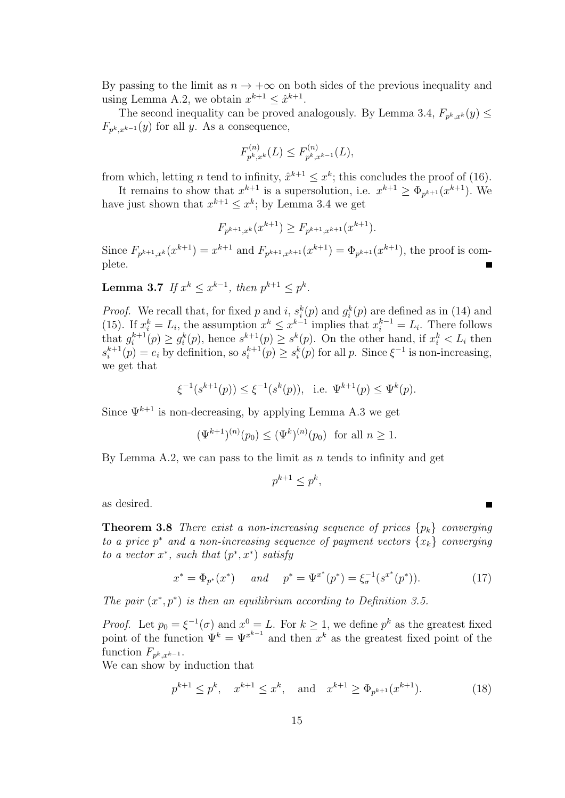By passing to the limit as  $n \to +\infty$  on both sides of the previous inequality and using Lemma A.2, we obtain  $x^{k+1} \leq \hat{x}^{k+1}$ .

The second inequality can be proved analogously. By Lemma 3.4,  $F_{p^k, x^k}(y) \leq$  $F_{p^k, x^{k-1}}(y)$  for all y. As a consequence,

$$
F_{p^k, x^k}^{(n)}(L) \le F_{p^k, x^{k-1}}^{(n)}(L),
$$

from which, letting *n* tend to infinity,  $\hat{x}^{k+1} \leq x^k$ ; this concludes the proof of (16).

It remains to show that  $x^{k+1}$  is a supersolution, i.e.  $x^{k+1} \geq \Phi_{p^{k+1}}(x^{k+1})$ . We have just shown that  $x^{k+1} \leq x^k$ ; by Lemma 3.4 we get

$$
F_{p^{k+1},x^k}(x^{k+1}) \ge F_{p^{k+1},x^{k+1}}(x^{k+1}).
$$

Since  $F_{p^{k+1},x^k}(x^{k+1}) = x^{k+1}$  and  $F_{p^{k+1},x^{k+1}}(x^{k+1}) = \Phi_{p^{k+1}}(x^{k+1})$ , the proof is complete.

Lemma 3.7 If  $x^k \leq x^{k-1}$ , then  $p^{k+1} \leq p^k$ .

*Proof.* We recall that, for fixed p and i,  $s_i^k(p)$  and  $g_i^k(p)$  are defined as in (14) and (15). If  $x_i^k = L_i$ , the assumption  $x^k \leq x^{k-1}$  implies that  $x_i^{k-1} = L_i$ . There follows that  $g_i^{k+1}$  $i_k^{k+1}(p) \geq g_i^k(p)$ , hence  $s^{k+1}(p) \geq s^k(p)$ . On the other hand, if  $x_i^k < L_i$  then  $s_i^{k+1}$  $i_i^{k+1}(p) = e_i$  by definition, so  $s_i^{k+1}$  $i_k^{k+1}(p) \geq s_i^k(p)$  for all p. Since  $\xi^{-1}$  is non-increasing, we get that

$$
\xi^{-1}(s^{k+1}(p)) \le \xi^{-1}(s^k(p)),
$$
 i.e.  $\Psi^{k+1}(p) \le \Psi^k(p)$ .

Since  $\Psi^{k+1}$  is non-decreasing, by applying Lemma A.3 we get

$$
(\Psi^{k+1})^{(n)}(p_0) \le (\Psi^k)^{(n)}(p_0) \text{ for all } n \ge 1.
$$

By Lemma A.2, we can pass to the limit as  $n$  tends to infinity and get

$$
p^{k+1} \le p^k,
$$

as desired.

**Theorem 3.8** There exist a non-increasing sequence of prices  $\{p_k\}$  converging to a price  $p^*$  and a non-increasing sequence of payment vectors  $\{x_k\}$  converging to a vector  $x^*$ , such that  $(p^*, x^*)$  satisfy

$$
x^* = \Phi_{p^*}(x^*) \quad \text{and} \quad p^* = \Psi^{x^*}(p^*) = \xi_{\sigma}^{-1}(s^{x^*}(p^*)). \tag{17}
$$

The pair  $(x^*, p^*)$  is then an equilibrium according to Definition 3.5.

*Proof.* Let  $p_0 = \xi^{-1}(\sigma)$  and  $x^0 = L$ . For  $k \ge 1$ , we define  $p^k$  as the greatest fixed point of the function  $\Psi^k = \Psi^{x^{k-1}}$  and then  $x^k$  as the greatest fixed point of the function  $F_{p^k, x^{k-1}}$ .

We can show by induction that

$$
p^{k+1} \le p^k, \quad x^{k+1} \le x^k, \quad \text{and} \quad x^{k+1} \ge \Phi_{p^{k+1}}(x^{k+1}).\tag{18}
$$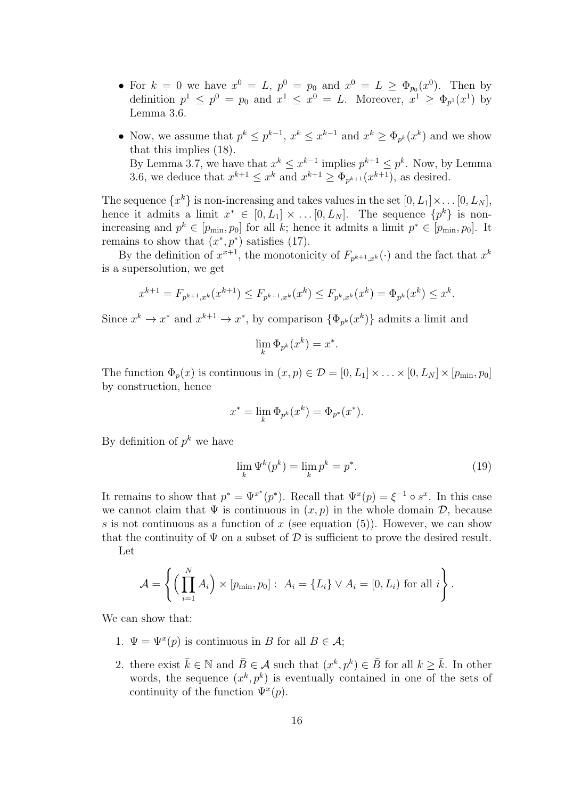- For  $k = 0$  we have  $x^0 = L$ ,  $p^0 = p_0$  and  $x^0 = L \ge \Phi_{p_0}(x^0)$ . Then by definition  $p^1 \leq p^0 = p_0$  and  $x^1 \leq x^0 = L$ . Moreover,  $x^1 \geq \Phi_{p^1}(x^1)$  by Lemma 3.6.
- Now, we assume that  $p^k \leq p^{k-1}$ ,  $x^k \leq x^{k-1}$  and  $x^k \geq \Phi_{p^k}(x^k)$  and we show that this implies (18). By Lemma 3.7, we have that  $x^k \leq x^{k-1}$  implies  $p^{k+1} \leq p^k$ . Now, by Lemma 3.6, we deduce that  $x^{k+1} \leq x^k$  and  $x^{k+1} \geq \Phi_{p^{k+1}}(x^{k+1})$ , as desired.

The sequence  $\{x^k\}$  is non-increasing and takes values in the set  $[0, L_1] \times \dots [0, L_N]$ , hence it admits a limit  $x^* \in [0, L_1] \times ... [0, L_N]$ . The sequence  $\{p^k\}$  is nonincreasing and  $p^k \in [p_{\min}, p_0]$  for all k; hence it admits a limit  $p^* \in [p_{\min}, p_0]$ . It remains to show that  $(x^*, p^*)$  satisfies (17).

By the definition of  $x^{x+1}$ , the monotonicity of  $F_{p^{k+1},x^k}(\cdot)$  and the fact that  $x^k$ is a supersolution, we get

$$
x^{k+1} = F_{p^{k+1},x^k}(x^{k+1}) \le F_{p^{k+1},x^k}(x^k) \le F_{p^k,x^k}(x^k) = \Phi_{p^k}(x^k) \le x^k.
$$

Since  $x^k \to x^*$  and  $x^{k+1} \to x^*$ , by comparison  $\{\Phi_{p^k}(x^k)\}\$  admits a limit and

$$
\lim_{k} \Phi_{p^k}(x^k) = x^*.
$$

The function  $\Phi_p(x)$  is continuous in  $(x, p) \in \mathcal{D} = [0, L_1] \times ... \times [0, L_N] \times [p_{\min}, p_0]$ by construction, hence

$$
x^* = \lim_k \Phi_{p^k}(x^k) = \Phi_{p^*}(x^*).
$$

By definition of  $p^k$  we have

$$
\lim_{k} \Psi^{k}(p^{k}) = \lim_{k} p^{k} = p^{*}.
$$
\n(19)

It remains to show that  $p^* = \Psi^{x^*}(p^*)$ . Recall that  $\Psi^{x}(p) = \xi^{-1} \circ s^{x}$ . In this case we cannot claim that  $\Psi$  is continuous in  $(x, p)$  in the whole domain  $\mathcal{D}$ , because s is not continuous as a function of x (see equation (5)). However, we can show that the continuity of  $\Psi$  on a subset of  $D$  is sufficient to prove the desired result.

Let

$$
\mathcal{A} = \left\{ \left( \prod_{i=1}^N A_i \right) \times [p_{\min}, p_0] : A_i = \{L_i\} \vee A_i = [0, L_i) \text{ for all } i \right\}.
$$

We can show that:

- 1.  $\Psi = \Psi^x(p)$  is continuous in B for all  $B \in \mathcal{A}$ ;
- 2. there exist  $\bar{k} \in \mathbb{N}$  and  $\bar{B} \in \mathcal{A}$  such that  $(x^k, p^k) \in \bar{B}$  for all  $k \geq \bar{k}$ . In other words, the sequence  $(x^k, p^k)$  is eventually contained in one of the sets of continuity of the function  $\Psi^x(p)$ .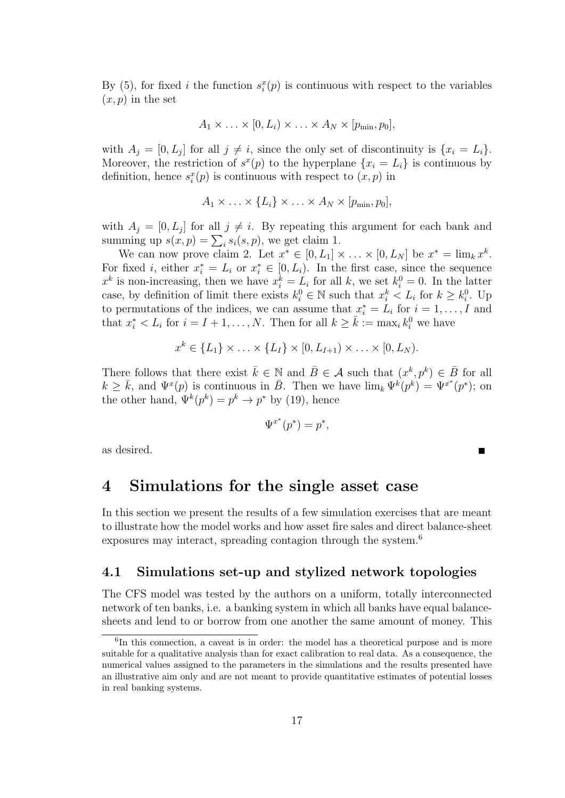By (5), for fixed *i* the function  $s_i^x(p)$  is continuous with respect to the variables  $(x, p)$  in the set

$$
A_1 \times \ldots \times [0, L_i) \times \ldots \times A_N \times [p_{\min}, p_0],
$$

with  $A_j = [0, L_j]$  for all  $j \neq i$ , since the only set of discontinuity is  $\{x_i = L_i\}$ . Moreover, the restriction of  $s^x(p)$  to the hyperplane  $\{x_i = L_i\}$  is continuous by definition, hence  $s_i^x(p)$  is continuous with respect to  $(x, p)$  in

$$
A_1 \times \ldots \times \{L_i\} \times \ldots \times A_N \times [p_{\min}, p_0],
$$

with  $A_j = [0, L_j]$  for all  $j \neq i$ . By repeating this argument for each bank and summing up  $s(x, p) = \sum_i s_i(s, p)$ , we get claim 1.

We can now prove claim 2. Let  $x^* \in [0, L_1] \times \ldots \times [0, L_N]$  be  $x^* = \lim_k x^k$ . For fixed *i*, either  $x_i^* = L_i$  or  $x_i^* \in [0, L_i)$ . In the first case, since the sequence  $x^k$  is non-increasing, then we have  $x_i^k = L_i$  for all k, we set  $k_i^0 = 0$ . In the latter case, by definition of limit there exists  $k_i^0 \in \mathbb{N}$  such that  $x_i^k < L_i$  for  $k \geq k_i^0$ . Up to permutations of the indices, we can assume that  $x_i^* = L_i$  for  $i = 1, ..., I$  and that  $x_i^* < L_i$  for  $i = I + 1, \ldots, N$ . Then for all  $k \geq \bar{k} := \max_i k_i^0$  we have

$$
x^{k} \in \{L_1\} \times \ldots \times \{L_I\} \times [0, L_{I+1}) \times \ldots \times [0, L_N).
$$

There follows that there exist  $\bar{k} \in \mathbb{N}$  and  $\bar{B} \in \mathcal{A}$  such that  $(x^k, p^k) \in \bar{B}$  for all  $k \geq \bar{k}$ , and  $\Psi^x(p)$  is continuous in  $\bar{B}$ . Then we have  $\lim_k \Psi^k(p^k) = \Psi^{x^*}(p^*)$ ; on the other hand,  $\Psi^k(p^k) = p^k \to p^*$  by (19), hence

$$
\Psi^{x^*}(p^*) = p^*,
$$

as desired.

### 4 Simulations for the single asset case

In this section we present the results of a few simulation exercises that are meant to illustrate how the model works and how asset fire sales and direct balance-sheet exposures may interact, spreading contagion through the system.<sup>6</sup>

#### 4.1 Simulations set-up and stylized network topologies

The CFS model was tested by the authors on a uniform, totally interconnected network of ten banks, i.e. a banking system in which all banks have equal balancesheets and lend to or borrow from one another the same amount of money. This

<sup>&</sup>lt;sup>6</sup>In this connection, a caveat is in order: the model has a theoretical purpose and is more suitable for a qualitative analysis than for exact calibration to real data. As a consequence, the numerical values assigned to the parameters in the simulations and the results presented have an illustrative aim only and are not meant to provide quantitative estimates of potential losses in real banking systems.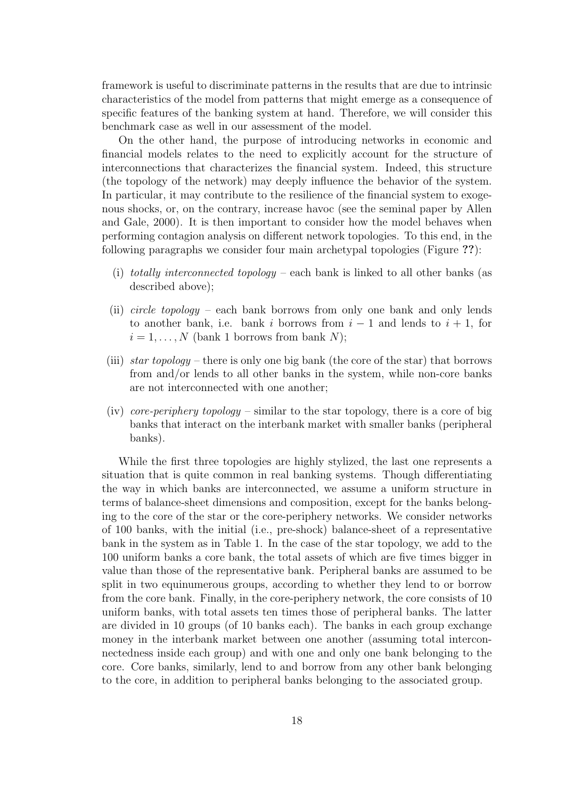framework is useful to discriminate patterns in the results that are due to intrinsic characteristics of the model from patterns that might emerge as a consequence of specific features of the banking system at hand. Therefore, we will consider this benchmark case as well in our assessment of the model.

On the other hand, the purpose of introducing networks in economic and financial models relates to the need to explicitly account for the structure of interconnections that characterizes the financial system. Indeed, this structure (the topology of the network) may deeply influence the behavior of the system. In particular, it may contribute to the resilience of the financial system to exogenous shocks, or, on the contrary, increase havoc (see the seminal paper by Allen and Gale, 2000). It is then important to consider how the model behaves when performing contagion analysis on different network topologies. To this end, in the following paragraphs we consider four main archetypal topologies (Figure ??):

- (i) totally interconnected topology each bank is linked to all other banks (as described above);
- (ii) circle topology each bank borrows from only one bank and only lends to another bank, i.e. bank i borrows from  $i-1$  and lends to  $i+1$ , for  $i = 1, \ldots, N$  (bank 1 borrows from bank N);
- (iii) star topology there is only one big bank (the core of the star) that borrows from and/or lends to all other banks in the system, while non-core banks are not interconnected with one another;
- (iv) *core-periphery topology* similar to the star topology, there is a core of big banks that interact on the interbank market with smaller banks (peripheral banks).

While the first three topologies are highly stylized, the last one represents a situation that is quite common in real banking systems. Though differentiating the way in which banks are interconnected, we assume a uniform structure in terms of balance-sheet dimensions and composition, except for the banks belonging to the core of the star or the core-periphery networks. We consider networks of 100 banks, with the initial (i.e., pre-shock) balance-sheet of a representative bank in the system as in Table 1. In the case of the star topology, we add to the 100 uniform banks a core bank, the total assets of which are five times bigger in value than those of the representative bank. Peripheral banks are assumed to be split in two equinumerous groups, according to whether they lend to or borrow from the core bank. Finally, in the core-periphery network, the core consists of 10 uniform banks, with total assets ten times those of peripheral banks. The latter are divided in 10 groups (of 10 banks each). The banks in each group exchange money in the interbank market between one another (assuming total interconnectedness inside each group) and with one and only one bank belonging to the core. Core banks, similarly, lend to and borrow from any other bank belonging to the core, in addition to peripheral banks belonging to the associated group.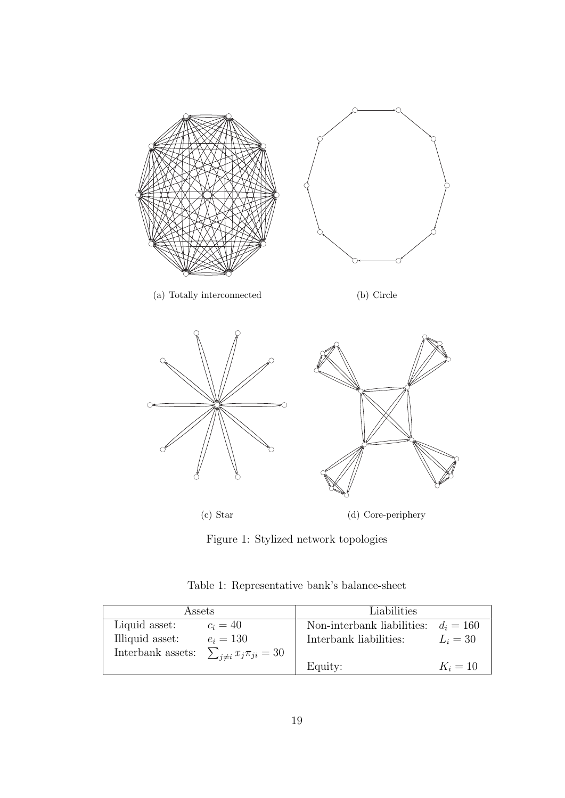

Figure 1: Stylized network topologies

Table 1: Representative bank's balance-sheet

| Assets                                                |             | Liabilities                |             |  |
|-------------------------------------------------------|-------------|----------------------------|-------------|--|
| Liquid asset:                                         | $c_i=40$    | Non-interbank liabilities: | $d_i = 160$ |  |
| Illiquid asset:                                       | $e_i = 130$ | Interbank liabilities:     | $L_i=30$    |  |
| Interbank assets: $\sum_{i \neq i} x_j \pi_{ji} = 30$ |             |                            |             |  |
|                                                       |             | Equity:                    | $K_i = 10$  |  |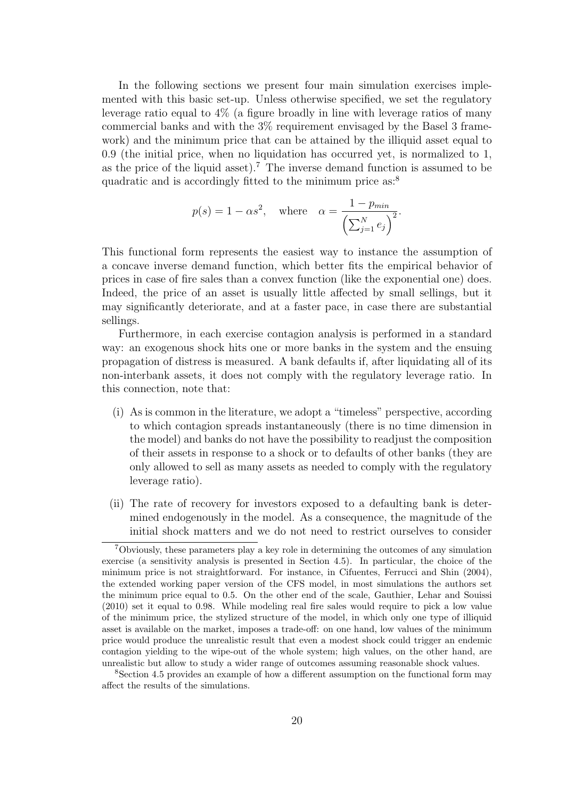In the following sections we present four main simulation exercises implemented with this basic set-up. Unless otherwise specified, we set the regulatory leverage ratio equal to 4% (a figure broadly in line with leverage ratios of many commercial banks and with the 3% requirement envisaged by the Basel 3 framework) and the minimum price that can be attained by the illiquid asset equal to 0.9 (the initial price, when no liquidation has occurred yet, is normalized to 1, as the price of the liquid asset).<sup>7</sup> The inverse demand function is assumed to be quadratic and is accordingly fitted to the minimum price as:<sup>8</sup>

$$
p(s) = 1 - \alpha s^2
$$
, where  $\alpha = \frac{1 - p_{min}}{\left(\sum_{j=1}^{N} e_j\right)^2}$ .

This functional form represents the easiest way to instance the assumption of a concave inverse demand function, which better fits the empirical behavior of prices in case of fire sales than a convex function (like the exponential one) does. Indeed, the price of an asset is usually little affected by small sellings, but it may significantly deteriorate, and at a faster pace, in case there are substantial sellings.

Furthermore, in each exercise contagion analysis is performed in a standard way: an exogenous shock hits one or more banks in the system and the ensuing propagation of distress is measured. A bank defaults if, after liquidating all of its non-interbank assets, it does not comply with the regulatory leverage ratio. In this connection, note that:

- (i) As is common in the literature, we adopt a "timeless" perspective, according to which contagion spreads instantaneously (there is no time dimension in the model) and banks do not have the possibility to readjust the composition of their assets in response to a shock or to defaults of other banks (they are only allowed to sell as many assets as needed to comply with the regulatory leverage ratio).
- (ii) The rate of recovery for investors exposed to a defaulting bank is determined endogenously in the model. As a consequence, the magnitude of the initial shock matters and we do not need to restrict ourselves to consider

<sup>7</sup>Obviously, these parameters play a key role in determining the outcomes of any simulation exercise (a sensitivity analysis is presented in Section 4.5). In particular, the choice of the minimum price is not straightforward. For instance, in Cifuentes, Ferrucci and Shin (2004), the extended working paper version of the CFS model, in most simulations the authors set the minimum price equal to 0.5. On the other end of the scale, Gauthier, Lehar and Souissi (2010) set it equal to 0.98. While modeling real fire sales would require to pick a low value of the minimum price, the stylized structure of the model, in which only one type of illiquid asset is available on the market, imposes a trade-off: on one hand, low values of the minimum price would produce the unrealistic result that even a modest shock could trigger an endemic contagion yielding to the wipe-out of the whole system; high values, on the other hand, are unrealistic but allow to study a wider range of outcomes assuming reasonable shock values.

<sup>8</sup>Section 4.5 provides an example of how a different assumption on the functional form may affect the results of the simulations.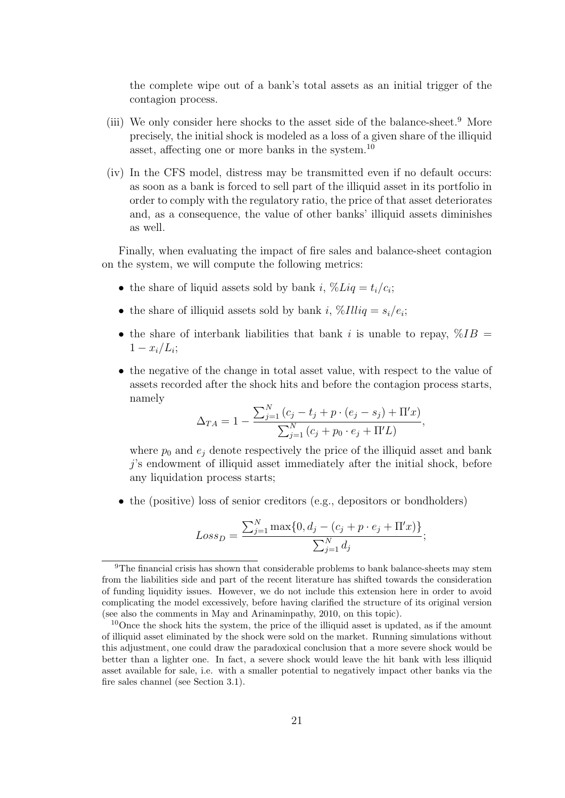the complete wipe out of a bank's total assets as an initial trigger of the contagion process.

- (iii) We only consider here shocks to the asset side of the balance-sheet.<sup>9</sup> More precisely, the initial shock is modeled as a loss of a given share of the illiquid asset, affecting one or more banks in the system.<sup>10</sup>
- (iv) In the CFS model, distress may be transmitted even if no default occurs: as soon as a bank is forced to sell part of the illiquid asset in its portfolio in order to comply with the regulatory ratio, the price of that asset deteriorates and, as a consequence, the value of other banks' illiquid assets diminishes as well.

Finally, when evaluating the impact of fire sales and balance-sheet contagion on the system, we will compute the following metrics:

- the share of liquid assets sold by bank i,  $\%Liq = t_i/c_i$ ;
- the share of illiquid assets sold by bank i,  $\mathcal{N} I lliq = s_i/e_i;$
- the share of interbank liabilities that bank i is unable to repay,  $\%IB$  $1 - x_i/L_i;$
- the negative of the change in total asset value, with respect to the value of assets recorded after the shock hits and before the contagion process starts, namely

$$
\Delta_{TA} = 1 - \frac{\sum_{j=1}^{N} (c_j - t_j + p \cdot (e_j - s_j) + \Pi' x)}{\sum_{j=1}^{N} (c_j + p_0 \cdot e_j + \Pi' L)},
$$

where  $p_0$  and  $e_i$  denote respectively the price of the illiquid asset and bank j's endowment of illiquid asset immediately after the initial shock, before any liquidation process starts;

• the (positive) loss of senior creditors (e.g., depositors or bondholders)

$$
Loss_D = \frac{\sum_{j=1}^{N} \max\{0, d_j - (c_j + p \cdot e_j + \Pi' x)\}}{\sum_{j=1}^{N} d_j};
$$

<sup>&</sup>lt;sup>9</sup>The financial crisis has shown that considerable problems to bank balance-sheets may stem from the liabilities side and part of the recent literature has shifted towards the consideration of funding liquidity issues. However, we do not include this extension here in order to avoid complicating the model excessively, before having clarified the structure of its original version (see also the comments in May and Arinaminpathy, 2010, on this topic).

<sup>&</sup>lt;sup>10</sup>Once the shock hits the system, the price of the illiquid asset is updated, as if the amount of illiquid asset eliminated by the shock were sold on the market. Running simulations without this adjustment, one could draw the paradoxical conclusion that a more severe shock would be better than a lighter one. In fact, a severe shock would leave the hit bank with less illiquid asset available for sale, i.e. with a smaller potential to negatively impact other banks via the fire sales channel (see Section 3.1).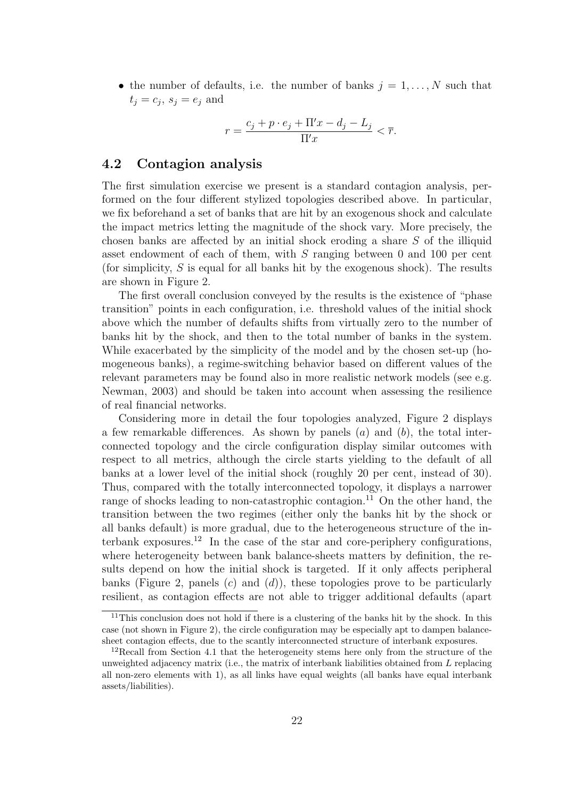• the number of defaults, i.e. the number of banks  $j = 1, \ldots, N$  such that  $t_j = c_j, s_j = e_j$  and

$$
r = \frac{c_j + p \cdot e_j + \Pi' x - d_j - L_j}{\Pi' x} < \overline{r}.
$$

#### 4.2 Contagion analysis

The first simulation exercise we present is a standard contagion analysis, performed on the four different stylized topologies described above. In particular, we fix beforehand a set of banks that are hit by an exogenous shock and calculate the impact metrics letting the magnitude of the shock vary. More precisely, the chosen banks are affected by an initial shock eroding a share S of the illiquid asset endowment of each of them, with  $S$  ranging between 0 and 100 per cent (for simplicity,  $S$  is equal for all banks hit by the exogenous shock). The results are shown in Figure 2.

The first overall conclusion conveyed by the results is the existence of "phase transition" points in each configuration, i.e. threshold values of the initial shock above which the number of defaults shifts from virtually zero to the number of banks hit by the shock, and then to the total number of banks in the system. While exacerbated by the simplicity of the model and by the chosen set-up (homogeneous banks), a regime-switching behavior based on different values of the relevant parameters may be found also in more realistic network models (see e.g. Newman, 2003) and should be taken into account when assessing the resilience of real financial networks.

Considering more in detail the four topologies analyzed, Figure 2 displays a few remarkable differences. As shown by panels  $(a)$  and  $(b)$ , the total interconnected topology and the circle configuration display similar outcomes with respect to all metrics, although the circle starts yielding to the default of all banks at a lower level of the initial shock (roughly 20 per cent, instead of 30). Thus, compared with the totally interconnected topology, it displays a narrower range of shocks leading to non-catastrophic contagion.<sup>11</sup> On the other hand, the transition between the two regimes (either only the banks hit by the shock or all banks default) is more gradual, due to the heterogeneous structure of the interbank exposures.<sup>12</sup> In the case of the star and core-periphery configurations, where heterogeneity between bank balance-sheets matters by definition, the results depend on how the initial shock is targeted. If it only affects peripheral banks (Figure 2, panels  $(c)$  and  $(d)$ ), these topologies prove to be particularly resilient, as contagion effects are not able to trigger additional defaults (apart

<sup>&</sup>lt;sup>11</sup>This conclusion does not hold if there is a clustering of the banks hit by the shock. In this case (not shown in Figure 2), the circle configuration may be especially apt to dampen balancesheet contagion effects, due to the scantly interconnected structure of interbank exposures.

<sup>&</sup>lt;sup>12</sup>Recall from Section 4.1 that the heterogeneity stems here only from the structure of the unweighted adjacency matrix (i.e., the matrix of interbank liabilities obtained from  $L$  replacing all non-zero elements with 1), as all links have equal weights (all banks have equal interbank assets/liabilities).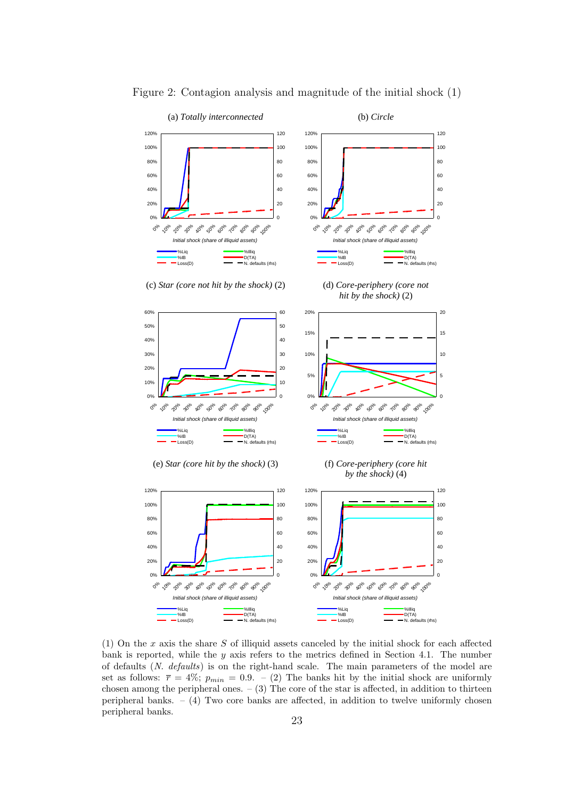

Figure 2: Contagion analysis and magnitude of the initial shock (1)

 $(1)$  On the x axis the share S of illiquid assets canceled by the initial shock for each affected bank is reported, while the  $y$  axis refers to the metrics defined in Section 4.1. The number of defaults (N. defaults) is on the right-hand scale. The main parameters of the model are set as follows:  $\bar{r} = 4\%$ ;  $p_{min} = 0.9$ . - (2) The banks hit by the initial shock are uniformly chosen among the peripheral ones.  $-$  (3) The core of the star is affected, in addition to thirteen peripheral banks.  $-$  (4) Two core banks are affected, in addition to twelve uniformly chosen peripheral banks.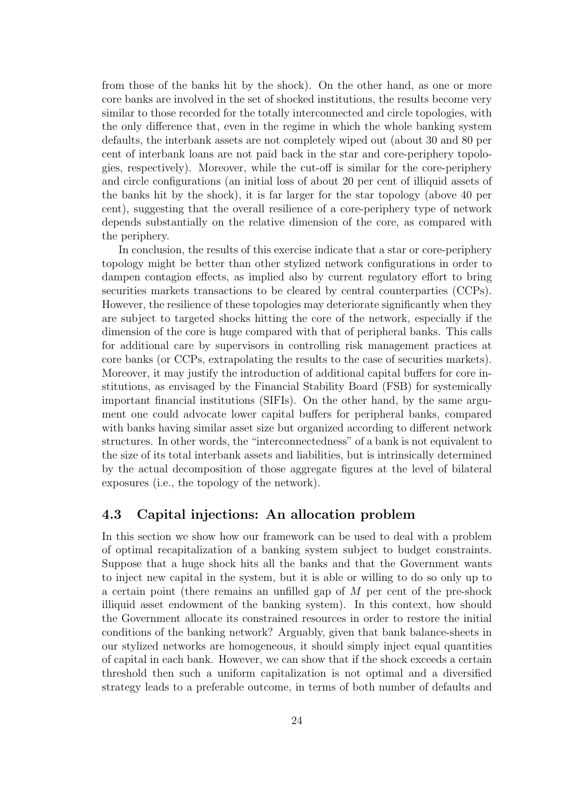from those of the banks hit by the shock). On the other hand, as one or more core banks are involved in the set of shocked institutions, the results become very similar to those recorded for the totally interconnected and circle topologies, with the only difference that, even in the regime in which the whole banking system defaults, the interbank assets are not completely wiped out (about 30 and 80 per cent of interbank loans are not paid back in the star and core-periphery topologies, respectively). Moreover, while the cut-off is similar for the core-periphery and circle configurations (an initial loss of about 20 per cent of illiquid assets of the banks hit by the shock), it is far larger for the star topology (above 40 per cent), suggesting that the overall resilience of a core-periphery type of network depends substantially on the relative dimension of the core, as compared with the periphery.

In conclusion, the results of this exercise indicate that a star or core-periphery topology might be better than other stylized network configurations in order to dampen contagion effects, as implied also by current regulatory effort to bring securities markets transactions to be cleared by central counterparties (CCPs). However, the resilience of these topologies may deteriorate significantly when they are subject to targeted shocks hitting the core of the network, especially if the dimension of the core is huge compared with that of peripheral banks. This calls for additional care by supervisors in controlling risk management practices at core banks (or CCPs, extrapolating the results to the case of securities markets). Moreover, it may justify the introduction of additional capital buffers for core institutions, as envisaged by the Financial Stability Board (FSB) for systemically important financial institutions (SIFIs). On the other hand, by the same argument one could advocate lower capital buffers for peripheral banks, compared with banks having similar asset size but organized according to different network structures. In other words, the "interconnectedness" of a bank is not equivalent to the size of its total interbank assets and liabilities, but is intrinsically determined by the actual decomposition of those aggregate figures at the level of bilateral exposures (i.e., the topology of the network).

#### 4.3 Capital injections: An allocation problem

In this section we show how our framework can be used to deal with a problem of optimal recapitalization of a banking system subject to budget constraints. Suppose that a huge shock hits all the banks and that the Government wants to inject new capital in the system, but it is able or willing to do so only up to a certain point (there remains an unfilled gap of M per cent of the pre-shock illiquid asset endowment of the banking system). In this context, how should the Government allocate its constrained resources in order to restore the initial conditions of the banking network? Arguably, given that bank balance-sheets in our stylized networks are homogeneous, it should simply inject equal quantities of capital in each bank. However, we can show that if the shock exceeds a certain threshold then such a uniform capitalization is not optimal and a diversified strategy leads to a preferable outcome, in terms of both number of defaults and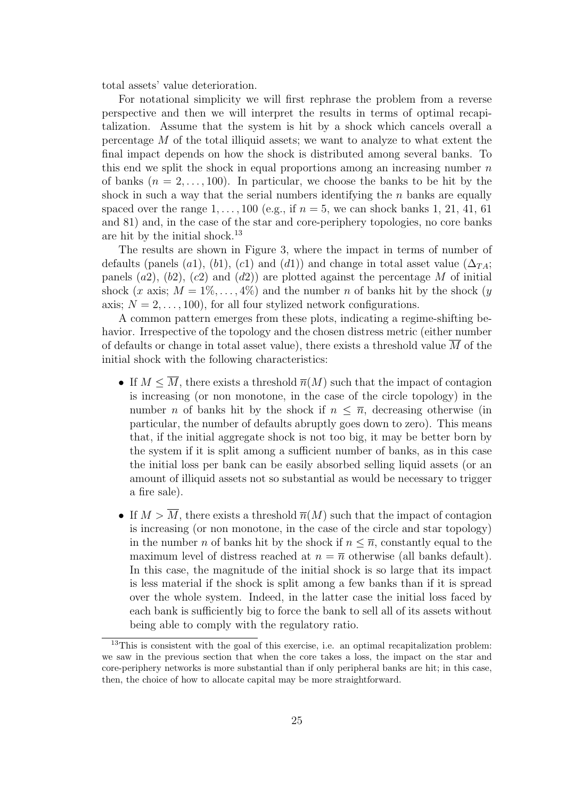total assets' value deterioration.

For notational simplicity we will first rephrase the problem from a reverse perspective and then we will interpret the results in terms of optimal recapitalization. Assume that the system is hit by a shock which cancels overall a percentage  $M$  of the total illiquid assets; we want to analyze to what extent the final impact depends on how the shock is distributed among several banks. To this end we split the shock in equal proportions among an increasing number  $n$ of banks  $(n = 2, \ldots, 100)$ . In particular, we choose the banks to be hit by the shock in such a way that the serial numbers identifying the  $n$  banks are equally spaced over the range  $1, \ldots, 100$  (e.g., if  $n = 5$ , we can shock banks 1, 21, 41, 61) and 81) and, in the case of the star and core-periphery topologies, no core banks are hit by the initial shock.<sup>13</sup>

The results are shown in Figure 3, where the impact in terms of number of defaults (panels (a1), (b1), (c1) and (d1)) and change in total asset value ( $\Delta_{TA}$ ; panels  $(a2)$ ,  $(b2)$ ,  $(c2)$  and  $(d2)$ ) are plotted against the percentage M of initial shock (x axis;  $M = 1\%, \ldots, 4\%$ ) and the number n of banks hit by the shock (y axis;  $N = 2, \ldots, 100$ , for all four stylized network configurations.

A common pattern emerges from these plots, indicating a regime-shifting behavior. Irrespective of the topology and the chosen distress metric (either number of defaults or change in total asset value), there exists a threshold value  $\overline{M}$  of the initial shock with the following characteristics:

- If  $M \leq \overline{M}$ , there exists a threshold  $\overline{n}(M)$  such that the impact of contagion is increasing (or non monotone, in the case of the circle topology) in the number *n* of banks hit by the shock if  $n \leq \overline{n}$ , decreasing otherwise (in particular, the number of defaults abruptly goes down to zero). This means that, if the initial aggregate shock is not too big, it may be better born by the system if it is split among a sufficient number of banks, as in this case the initial loss per bank can be easily absorbed selling liquid assets (or an amount of illiquid assets not so substantial as would be necessary to trigger a fire sale).
- If  $M > \overline{M}$ , there exists a threshold  $\overline{n}(M)$  such that the impact of contagion is increasing (or non monotone, in the case of the circle and star topology) in the number n of banks hit by the shock if  $n \leq \overline{n}$ , constantly equal to the maximum level of distress reached at  $n = \overline{n}$  otherwise (all banks default). In this case, the magnitude of the initial shock is so large that its impact is less material if the shock is split among a few banks than if it is spread over the whole system. Indeed, in the latter case the initial loss faced by each bank is sufficiently big to force the bank to sell all of its assets without being able to comply with the regulatory ratio.

 $13$ This is consistent with the goal of this exercise, i.e. an optimal recapitalization problem: we saw in the previous section that when the core takes a loss, the impact on the star and core-periphery networks is more substantial than if only peripheral banks are hit; in this case, then, the choice of how to allocate capital may be more straightforward.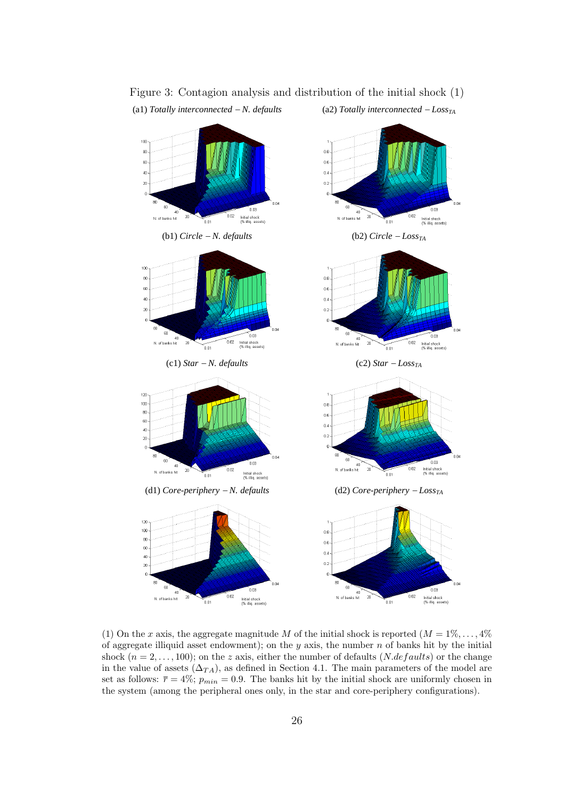

Figure 3: Contagion analysis and distribution of the initial shock (1) (a1) *Totally interconnected*  $-N$ . *defaults* (a2) *Totally interconnected*  $-Loss_{TA}$ 

(1) On the x axis, the aggregate magnitude M of the initial shock is reported  $(M = 1\%, \ldots, 4\%)$ of aggregate illiquid asset endowment); on the y axis, the number  $n$  of banks hit by the initial shock  $(n = 2, \ldots, 100)$ ; on the z axis, either the number of defaults (*N.defaults*) or the change in the value of assets  $(\Delta_{TA})$ , as defined in Section 4.1. The main parameters of the model are set as follows:  $\bar{r} = 4\%$ ;  $p_{min} = 0.9$ . The banks hit by the initial shock are uniformly chosen in the system (among the peripheral ones only, in the star and core-periphery configurations).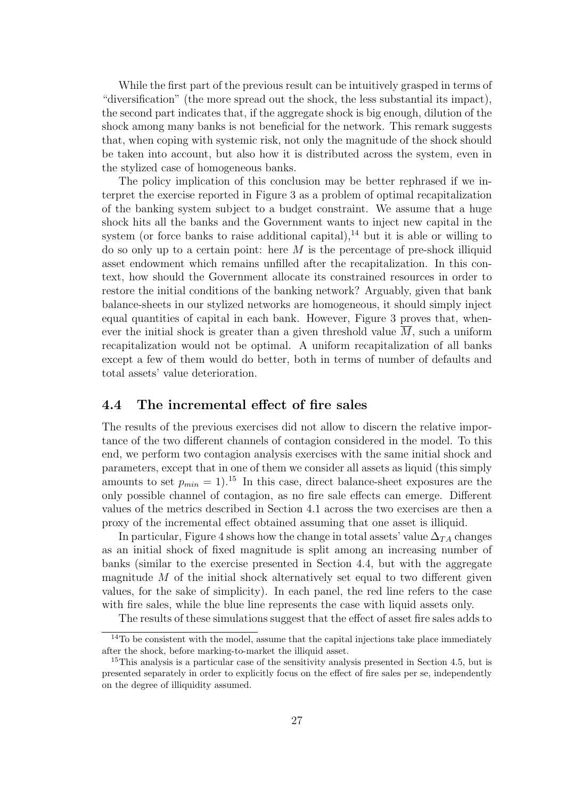While the first part of the previous result can be intuitively grasped in terms of "diversification" (the more spread out the shock, the less substantial its impact), the second part indicates that, if the aggregate shock is big enough, dilution of the shock among many banks is not beneficial for the network. This remark suggests that, when coping with systemic risk, not only the magnitude of the shock should be taken into account, but also how it is distributed across the system, even in the stylized case of homogeneous banks.

The policy implication of this conclusion may be better rephrased if we interpret the exercise reported in Figure 3 as a problem of optimal recapitalization of the banking system subject to a budget constraint. We assume that a huge shock hits all the banks and the Government wants to inject new capital in the system (or force banks to raise additional capital),  $^{14}$  but it is able or willing to do so only up to a certain point: here  $M$  is the percentage of pre-shock illiquid asset endowment which remains unfilled after the recapitalization. In this context, how should the Government allocate its constrained resources in order to restore the initial conditions of the banking network? Arguably, given that bank balance-sheets in our stylized networks are homogeneous, it should simply inject equal quantities of capital in each bank. However, Figure 3 proves that, whenever the initial shock is greater than a given threshold value  $M$ , such a uniform recapitalization would not be optimal. A uniform recapitalization of all banks except a few of them would do better, both in terms of number of defaults and total assets' value deterioration.

#### 4.4 The incremental effect of fire sales

The results of the previous exercises did not allow to discern the relative importance of the two different channels of contagion considered in the model. To this end, we perform two contagion analysis exercises with the same initial shock and parameters, except that in one of them we consider all assets as liquid (this simply amounts to set  $p_{min} = 1$ .<sup>15</sup> In this case, direct balance-sheet exposures are the only possible channel of contagion, as no fire sale effects can emerge. Different values of the metrics described in Section 4.1 across the two exercises are then a proxy of the incremental effect obtained assuming that one asset is illiquid.

In particular, Figure 4 shows how the change in total assets' value  $\Delta_{TA}$  changes as an initial shock of fixed magnitude is split among an increasing number of banks (similar to the exercise presented in Section 4.4, but with the aggregate magnitude  $M$  of the initial shock alternatively set equal to two different given values, for the sake of simplicity). In each panel, the red line refers to the case with fire sales, while the blue line represents the case with liquid assets only.

The results of these simulations suggest that the effect of asset fire sales adds to

 $14$ To be consistent with the model, assume that the capital injections take place immediately after the shock, before marking-to-market the illiquid asset.

<sup>&</sup>lt;sup>15</sup>This analysis is a particular case of the sensitivity analysis presented in Section 4.5, but is presented separately in order to explicitly focus on the effect of fire sales per se, independently on the degree of illiquidity assumed.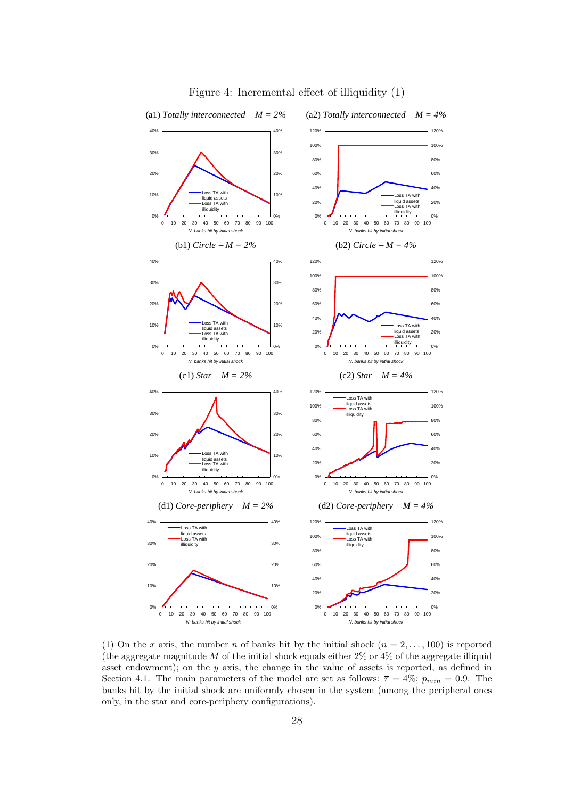

Figure 4: Incremental effect of illiquidity (1)

(1) On the x axis, the number n of banks hit by the initial shock  $(n = 2, \ldots, 100)$  is reported (the aggregate magnitude M of the initial shock equals either  $2\%$  or  $4\%$  of the aggregate illiquid asset endowment); on the y axis, the change in the value of assets is reported, as defined in Section 4.1. The main parameters of the model are set as follows:  $\bar{r} = 4\%; p_{min} = 0.9.$  The banks hit by the initial shock are uniformly chosen in the system (among the peripheral ones only, in the star and core-periphery configurations).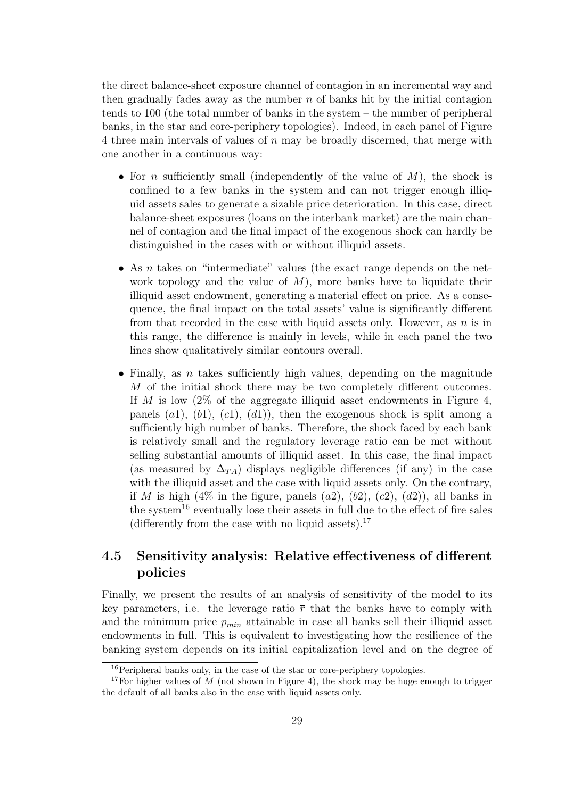the direct balance-sheet exposure channel of contagion in an incremental way and then gradually fades away as the number  $n$  of banks hit by the initial contagion tends to 100 (the total number of banks in the system – the number of peripheral banks, in the star and core-periphery topologies). Indeed, in each panel of Figure 4 three main intervals of values of n may be broadly discerned, that merge with one another in a continuous way:

- For n sufficiently small (independently of the value of  $M$ ), the shock is confined to a few banks in the system and can not trigger enough illiquid assets sales to generate a sizable price deterioration. In this case, direct balance-sheet exposures (loans on the interbank market) are the main channel of contagion and the final impact of the exogenous shock can hardly be distinguished in the cases with or without illiquid assets.
- As *n* takes on "intermediate" values (the exact range depends on the network topology and the value of  $M$ ), more banks have to liquidate their illiquid asset endowment, generating a material effect on price. As a consequence, the final impact on the total assets' value is significantly different from that recorded in the case with liquid assets only. However, as  $n$  is in this range, the difference is mainly in levels, while in each panel the two lines show qualitatively similar contours overall.
- Finally, as n takes sufficiently high values, depending on the magnitude M of the initial shock there may be two completely different outcomes. If M is low  $(2\%$  of the aggregate illiquid asset endowments in Figure 4, panels  $(a1), (b1), (c1), (d1),$  then the exogenous shock is split among a sufficiently high number of banks. Therefore, the shock faced by each bank is relatively small and the regulatory leverage ratio can be met without selling substantial amounts of illiquid asset. In this case, the final impact (as measured by  $\Delta_{TA}$ ) displays negligible differences (if any) in the case with the illiquid asset and the case with liquid assets only. On the contrary, if M is high  $(4\%$  in the figure, panels  $(a2)$ ,  $(b2)$ ,  $(c2)$ ,  $(d2)$ ), all banks in the system<sup>16</sup> eventually lose their assets in full due to the effect of fire sales (differently from the case with no liquid assets).<sup>17</sup>

### 4.5 Sensitivity analysis: Relative effectiveness of different policies

Finally, we present the results of an analysis of sensitivity of the model to its key parameters, i.e. the leverage ratio  $\bar{r}$  that the banks have to comply with and the minimum price  $p_{min}$  attainable in case all banks sell their illiquid asset endowments in full. This is equivalent to investigating how the resilience of the banking system depends on its initial capitalization level and on the degree of

 $16$ Peripheral banks only, in the case of the star or core-periphery topologies.

<sup>&</sup>lt;sup>17</sup>For higher values of M (not shown in Figure 4), the shock may be huge enough to trigger the default of all banks also in the case with liquid assets only.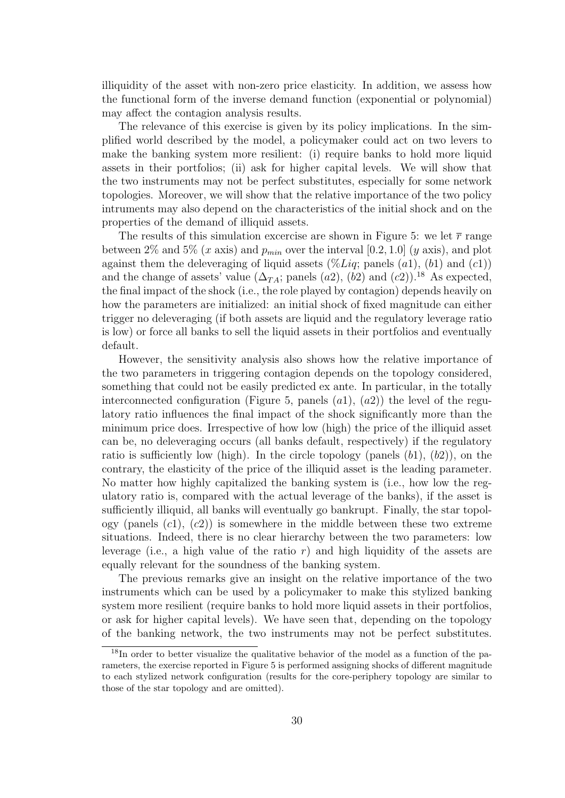illiquidity of the asset with non-zero price elasticity. In addition, we assess how the functional form of the inverse demand function (exponential or polynomial) may affect the contagion analysis results.

The relevance of this exercise is given by its policy implications. In the simplified world described by the model, a policymaker could act on two levers to make the banking system more resilient: (i) require banks to hold more liquid assets in their portfolios; (ii) ask for higher capital levels. We will show that the two instruments may not be perfect substitutes, especially for some network topologies. Moreover, we will show that the relative importance of the two policy intruments may also depend on the characteristics of the initial shock and on the properties of the demand of illiquid assets.

The results of this simulation excercise are shown in Figure 5: we let  $\bar{r}$  range between 2% and 5% (x axis) and  $p_{min}$  over the interval [0.2, 1.0] (y axis), and plot against them the deleveraging of liquid assets  $(\%Liq;$  panels  $(a1), (b1)$  and  $(c1))$ and the change of assets' value ( $\Delta_{TA}$ ; panels (a2), (b2) and (c2)).<sup>18</sup> As expected, the final impact of the shock (i.e., the role played by contagion) depends heavily on how the parameters are initialized: an initial shock of fixed magnitude can either trigger no deleveraging (if both assets are liquid and the regulatory leverage ratio is low) or force all banks to sell the liquid assets in their portfolios and eventually default.

However, the sensitivity analysis also shows how the relative importance of the two parameters in triggering contagion depends on the topology considered, something that could not be easily predicted ex ante. In particular, in the totally interconnected configuration (Figure 5, panels  $(a1)$ ,  $(a2)$ ) the level of the regulatory ratio influences the final impact of the shock significantly more than the minimum price does. Irrespective of how low (high) the price of the illiquid asset can be, no deleveraging occurs (all banks default, respectively) if the regulatory ratio is sufficiently low (high). In the circle topology (panels  $(b1)$ ,  $(b2)$ ), on the contrary, the elasticity of the price of the illiquid asset is the leading parameter. No matter how highly capitalized the banking system is (i.e., how low the regulatory ratio is, compared with the actual leverage of the banks), if the asset is sufficiently illiquid, all banks will eventually go bankrupt. Finally, the star topology (panels  $(c1), (c2)$ ) is somewhere in the middle between these two extreme situations. Indeed, there is no clear hierarchy between the two parameters: low leverage (i.e., a high value of the ratio  $r$ ) and high liquidity of the assets are equally relevant for the soundness of the banking system.

The previous remarks give an insight on the relative importance of the two instruments which can be used by a policymaker to make this stylized banking system more resilient (require banks to hold more liquid assets in their portfolios, or ask for higher capital levels). We have seen that, depending on the topology of the banking network, the two instruments may not be perfect substitutes.

<sup>&</sup>lt;sup>18</sup>In order to better visualize the qualitative behavior of the model as a function of the parameters, the exercise reported in Figure 5 is performed assigning shocks of different magnitude to each stylized network configuration (results for the core-periphery topology are similar to those of the star topology and are omitted).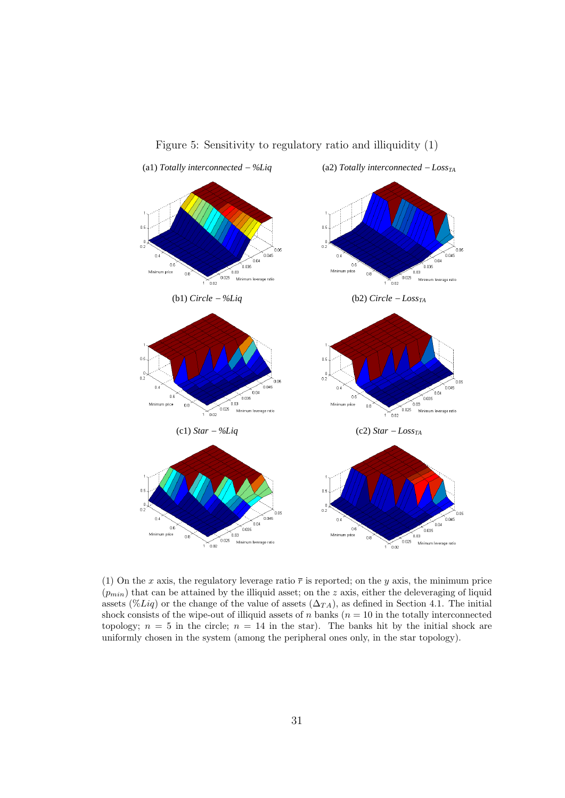

Figure 5: Sensitivity to regulatory ratio and illiquidity (1)

(1) On the x axis, the regulatory leverage ratio  $\bar{r}$  is reported; on the y axis, the minimum price  $(p_{min})$  that can be attained by the illiquid asset; on the z axis, either the deleveraging of liquid assets (%Liq) or the change of the value of assets  $(\Delta_{TA})$ , as defined in Section 4.1. The initial shock consists of the wipe-out of illiquid assets of n banks ( $n = 10$  in the totally interconnected topology;  $n = 5$  in the circle;  $n = 14$  in the star). The banks hit by the initial shock are uniformly chosen in the system (among the peripheral ones only, in the star topology).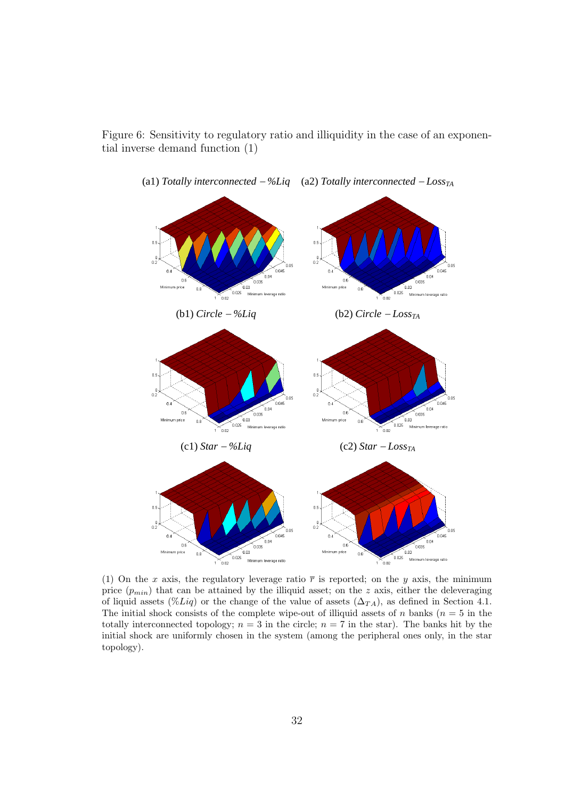Figure 6: Sensitivity to regulatory ratio and illiquidity in the case of an exponential inverse demand function (1)



(1) On the x axis, the regulatory leverage ratio  $\bar{r}$  is reported; on the y axis, the minimum price  $(p_{min})$  that can be attained by the illiquid asset; on the z axis, either the deleveraging of liquid assets (%Liq) or the change of the value of assets  $(\Delta_{TA})$ , as defined in Section 4.1. The initial shock consists of the complete wipe-out of illiquid assets of n banks  $(n = 5$  in the totally interconnected topology;  $n = 3$  in the circle;  $n = 7$  in the star). The banks hit by the initial shock are uniformly chosen in the system (among the peripheral ones only, in the star topology).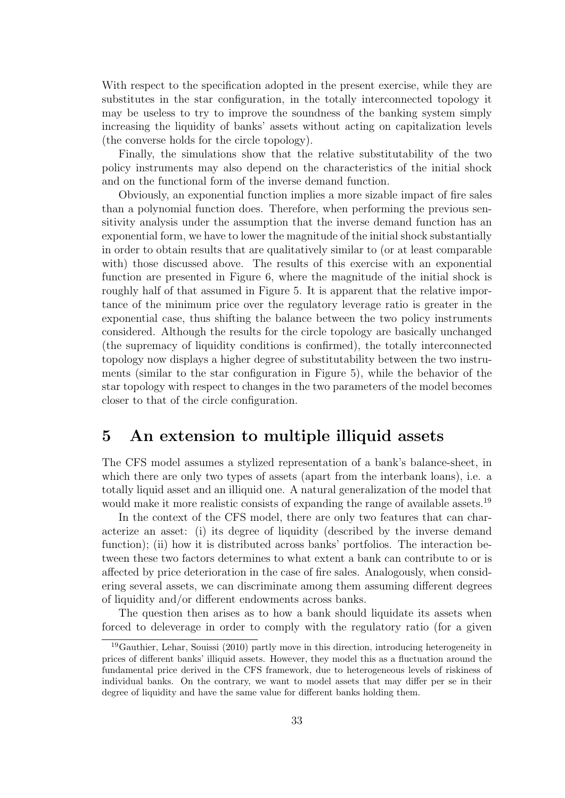With respect to the specification adopted in the present exercise, while they are substitutes in the star configuration, in the totally interconnected topology it may be useless to try to improve the soundness of the banking system simply increasing the liquidity of banks' assets without acting on capitalization levels (the converse holds for the circle topology).

Finally, the simulations show that the relative substitutability of the two policy instruments may also depend on the characteristics of the initial shock and on the functional form of the inverse demand function.

Obviously, an exponential function implies a more sizable impact of fire sales than a polynomial function does. Therefore, when performing the previous sensitivity analysis under the assumption that the inverse demand function has an exponential form, we have to lower the magnitude of the initial shock substantially in order to obtain results that are qualitatively similar to (or at least comparable with) those discussed above. The results of this exercise with an exponential function are presented in Figure 6, where the magnitude of the initial shock is roughly half of that assumed in Figure 5. It is apparent that the relative importance of the minimum price over the regulatory leverage ratio is greater in the exponential case, thus shifting the balance between the two policy instruments considered. Although the results for the circle topology are basically unchanged (the supremacy of liquidity conditions is confirmed), the totally interconnected topology now displays a higher degree of substitutability between the two instruments (similar to the star configuration in Figure 5), while the behavior of the star topology with respect to changes in the two parameters of the model becomes closer to that of the circle configuration.

### 5 An extension to multiple illiquid assets

The CFS model assumes a stylized representation of a bank's balance-sheet, in which there are only two types of assets (apart from the interbank loans), i.e. a totally liquid asset and an illiquid one. A natural generalization of the model that would make it more realistic consists of expanding the range of available assets.<sup>19</sup>

In the context of the CFS model, there are only two features that can characterize an asset: (i) its degree of liquidity (described by the inverse demand function); (ii) how it is distributed across banks' portfolios. The interaction between these two factors determines to what extent a bank can contribute to or is affected by price deterioration in the case of fire sales. Analogously, when considering several assets, we can discriminate among them assuming different degrees of liquidity and/or different endowments across banks.

The question then arises as to how a bank should liquidate its assets when forced to deleverage in order to comply with the regulatory ratio (for a given

<sup>&</sup>lt;sup>19</sup>Gauthier, Lehar, Souissi (2010) partly move in this direction, introducing heterogeneity in prices of different banks' illiquid assets. However, they model this as a fluctuation around the fundamental price derived in the CFS framework, due to heterogeneous levels of riskiness of individual banks. On the contrary, we want to model assets that may differ per se in their degree of liquidity and have the same value for different banks holding them.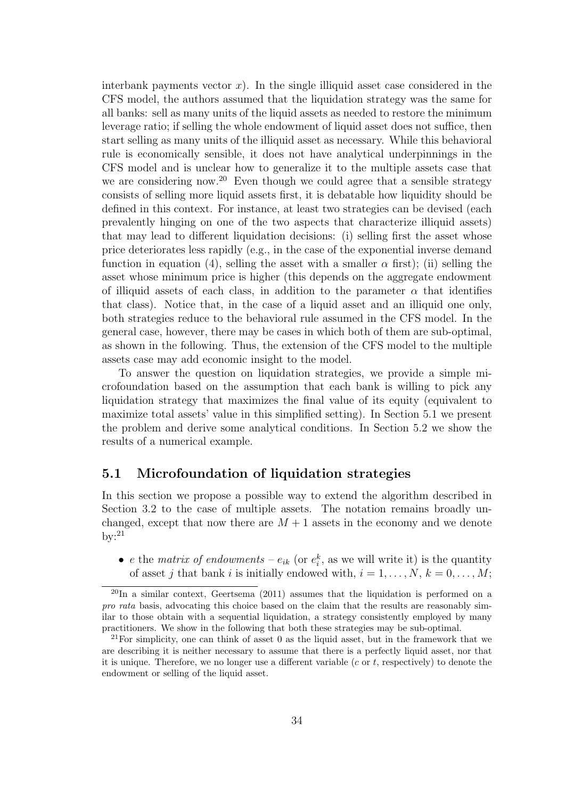interbank payments vector  $x$ ). In the single illiquid asset case considered in the CFS model, the authors assumed that the liquidation strategy was the same for all banks: sell as many units of the liquid assets as needed to restore the minimum leverage ratio; if selling the whole endowment of liquid asset does not suffice, then start selling as many units of the illiquid asset as necessary. While this behavioral rule is economically sensible, it does not have analytical underpinnings in the CFS model and is unclear how to generalize it to the multiple assets case that we are considering now.<sup>20</sup> Even though we could agree that a sensible strategy consists of selling more liquid assets first, it is debatable how liquidity should be defined in this context. For instance, at least two strategies can be devised (each prevalently hinging on one of the two aspects that characterize illiquid assets) that may lead to different liquidation decisions: (i) selling first the asset whose price deteriorates less rapidly (e.g., in the case of the exponential inverse demand function in equation (4), selling the asset with a smaller  $\alpha$  first); (ii) selling the asset whose minimum price is higher (this depends on the aggregate endowment of illiquid assets of each class, in addition to the parameter  $\alpha$  that identifies that class). Notice that, in the case of a liquid asset and an illiquid one only, both strategies reduce to the behavioral rule assumed in the CFS model. In the general case, however, there may be cases in which both of them are sub-optimal, as shown in the following. Thus, the extension of the CFS model to the multiple assets case may add economic insight to the model.

To answer the question on liquidation strategies, we provide a simple microfoundation based on the assumption that each bank is willing to pick any liquidation strategy that maximizes the final value of its equity (equivalent to maximize total assets' value in this simplified setting). In Section 5.1 we present the problem and derive some analytical conditions. In Section 5.2 we show the results of a numerical example.

#### 5.1 Microfoundation of liquidation strategies

In this section we propose a possible way to extend the algorithm described in Section 3.2 to the case of multiple assets. The notation remains broadly unchanged, except that now there are  $M + 1$  assets in the economy and we denote  $by:$ <sup>21</sup>

• e the matrix of endowments –  $e_{ik}$  (or  $e_i^k$ , as we will write it) is the quantity of asset j that bank i is initially endowed with,  $i = 1, \ldots, N$ ,  $k = 0, \ldots, M$ ;

 $^{20}$ In a similar context, Geertsema (2011) assumes that the liquidation is performed on a pro rata basis, advocating this choice based on the claim that the results are reasonably similar to those obtain with a sequential liquidation, a strategy consistently employed by many practitioners. We show in the following that both these strategies may be sub-optimal.

<sup>&</sup>lt;sup>21</sup>For simplicity, one can think of asset 0 as the liquid asset, but in the framework that we are describing it is neither necessary to assume that there is a perfectly liquid asset, nor that it is unique. Therefore, we no longer use a different variable (c or t, respectively) to denote the endowment or selling of the liquid asset.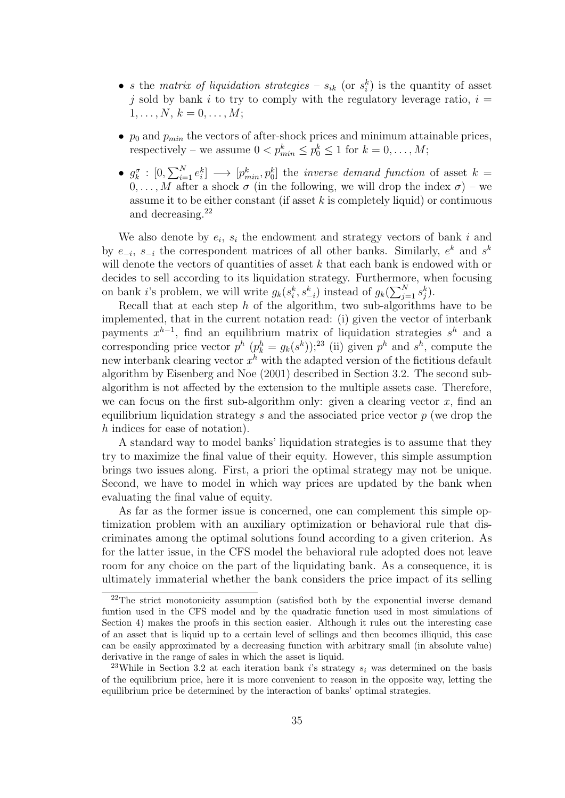- *s* the matrix of liquidation strategies  $s_{ik}$  (or  $s_i^k$ ) is the quantity of asset j sold by bank i to try to comply with the regulatory leverage ratio,  $i =$  $1, \ldots, N, k = 0, \ldots, M;$
- $p_0$  and  $p_{min}$  the vectors of after-shock prices and minimum attainable prices, respectively – we assume  $0 < p_{min}^k \le p_0^k \le 1$  for  $k = 0, ..., M$ ;
- $g_k^{\sigma} : [0, \sum_{i=1}^N e_i^k] \longrightarrow [p_{min}^k, p_0^k]$  the *inverse demand function* of asset  $k =$  $0, \ldots, M$  after a shock  $\sigma$  (in the following, we will drop the index  $\sigma$ ) – we assume it to be either constant (if asset  $k$  is completely liquid) or continuous and decreasing.<sup>22</sup>

We also denote by  $e_i$ ,  $s_i$  the endowment and strategy vectors of bank i and by  $e_{-i}, s_{-i}$  the correspondent matrices of all other banks. Similarly,  $e^k$  and  $s^k$ will denote the vectors of quantities of asset  $k$  that each bank is endowed with or decides to sell according to its liquidation strategy. Furthermore, when focusing on bank *i*'s problem, we will write  $g_k(s_i^k, s_{-i}^k)$  instead of  $g_k(\sum_{j=1}^N s_j^k)$ .

Recall that at each step  $h$  of the algorithm, two sub-algorithms have to be implemented, that in the current notation read: (i) given the vector of interbank payments  $x^{h-1}$ , find an equilibrium matrix of liquidation strategies  $s^h$  and a corresponding price vector  $p^h$   $(p^h_k = g_k(s^k))$ ;<sup>23</sup> (ii) given  $p^h$  and  $s^h$ , compute the new interbank clearing vector  $x^h$  with the adapted version of the fictitious default algorithm by Eisenberg and Noe (2001) described in Section 3.2. The second subalgorithm is not affected by the extension to the multiple assets case. Therefore, we can focus on the first sub-algorithm only: given a clearing vector  $x$ , find an equilibrium liquidation strategy s and the associated price vector  $p$  (we drop the h indices for ease of notation).

A standard way to model banks' liquidation strategies is to assume that they try to maximize the final value of their equity. However, this simple assumption brings two issues along. First, a priori the optimal strategy may not be unique. Second, we have to model in which way prices are updated by the bank when evaluating the final value of equity.

As far as the former issue is concerned, one can complement this simple optimization problem with an auxiliary optimization or behavioral rule that discriminates among the optimal solutions found according to a given criterion. As for the latter issue, in the CFS model the behavioral rule adopted does not leave room for any choice on the part of the liquidating bank. As a consequence, it is ultimately immaterial whether the bank considers the price impact of its selling

<sup>&</sup>lt;sup>22</sup>The strict monotonicity assumption (satisfied both by the exponential inverse demand funtion used in the CFS model and by the quadratic function used in most simulations of Section 4) makes the proofs in this section easier. Although it rules out the interesting case of an asset that is liquid up to a certain level of sellings and then becomes illiquid, this case can be easily approximated by a decreasing function with arbitrary small (in absolute value) derivative in the range of sales in which the asset is liquid.

<sup>&</sup>lt;sup>23</sup>While in Section 3.2 at each iteration bank i's strategy  $s_i$  was determined on the basis of the equilibrium price, here it is more convenient to reason in the opposite way, letting the equilibrium price be determined by the interaction of banks' optimal strategies.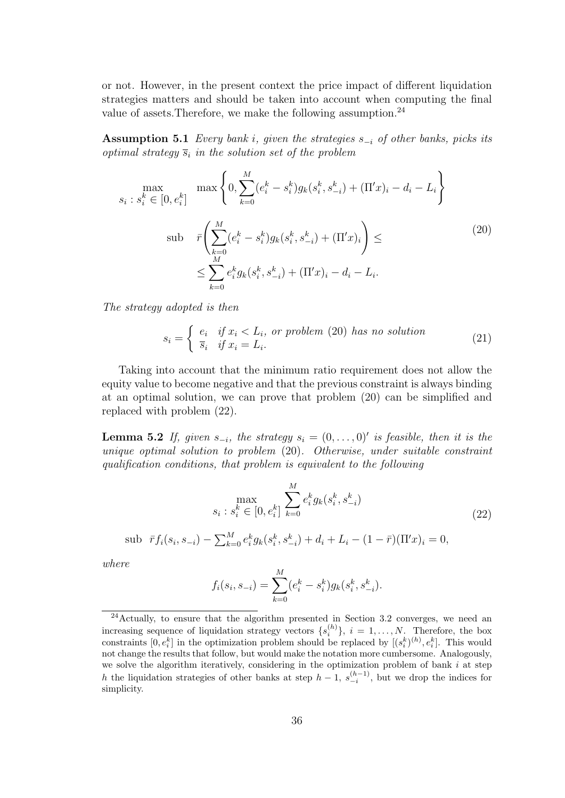or not. However, in the present context the price impact of different liquidation strategies matters and should be taken into account when computing the final value of assets.Therefore, we make the following assumption.<sup>24</sup>

Assumption 5.1 Every bank i, given the strategies  $s_{-i}$  of other banks, picks its optimal strategy  $\overline{s}_i$  in the solution set of the problem

$$
\max_{s_i \; : \; s_i^k \in [0, e_i^k]} \max \left\{ 0, \sum_{k=0}^M (e_i^k - s_i^k) g_k(s_i^k, s_{-i}^k) + (\Pi' x)_i - d_i - L_i \right\}
$$
\n
$$
\text{sub} \quad \bar{r} \left( \sum_{k=0}^M (e_i^k - s_i^k) g_k(s_i^k, s_{-i}^k) + (\Pi' x)_i \right) \le
$$
\n
$$
\le \sum_{k=0}^M e_i^k g_k(s_i^k, s_{-i}^k) + (\Pi' x)_i - d_i - L_i.
$$
\n(20)

The strategy adopted is then

$$
s_i = \begin{cases} e_i & if \ x_i < L_i, \text{ or problem (20) has no solution} \\ \overline{s}_i & if \ x_i = L_i. \end{cases} \tag{21}
$$

Taking into account that the minimum ratio requirement does not allow the equity value to become negative and that the previous constraint is always binding at an optimal solution, we can prove that problem (20) can be simplified and replaced with problem (22).

**Lemma 5.2** If, given  $s_{-i}$ , the strategy  $s_i = (0, \ldots, 0)$ ' is feasible, then it is the unique optimal solution to problem (20). Otherwise, under suitable constraint qualification conditions, that problem is equivalent to the following

$$
\max_{s_i \;:\; s_i^k \in [0, e_i^k]} \sum_{k=0}^M e_i^k g_k(s_i^k, s_{-i}^k)
$$
\n
$$
\bar{r} f_i(s_i, s_{-i}) - \sum_{k=0}^M e_i^k g_k(s_i^k, s_{-i}^k) + d_i + L_i - (1 - \bar{r})(\Pi' x)_i = 0,
$$
\n
$$
(22)
$$

where

$$
f_i(s_i, s_{-i}) = \sum_{k=0}^{M} (e_i^k - s_i^k) g_k(s_i^k, s_{-i}^k).
$$

 $^{24}$ Actually, to ensure that the algorithm presented in Section 3.2 converges, we need an increasing sequence of liquidation strategy vectors  $\{s_i^{(h)}\}, i = 1, \ldots, N$ . Therefore, the box constraints  $[0, e_i^k]$  in the optimization problem should be replaced by  $[(s_i^k)^{(h)}, e_i^k]$ . This would not change the results that follow, but would make the notation more cumbersome. Analogously, we solve the algorithm iteratively, considering in the optimization problem of bank  $i$  at step h the liquidation strategies of other banks at step  $h-1$ ,  $s_{-i}^{(h-1)}$ , but we drop the indices for simplicity.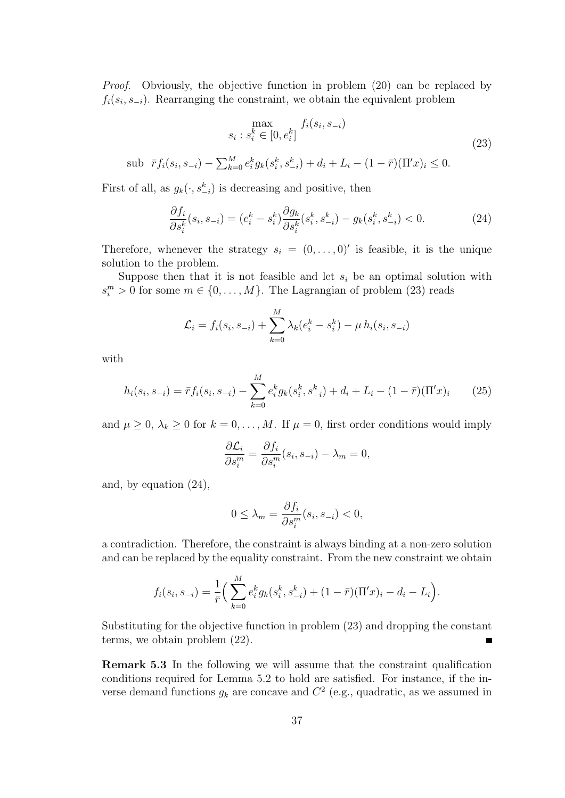Proof. Obviously, the objective function in problem (20) can be replaced by  $f_i(s_i, s_{-i})$ . Rearranging the constraint, we obtain the equivalent problem

$$
\max_{s_i \colon s_i^k \in [0, e_i^k]} f_i(s_i, s_{-i})
$$
\n
$$
(23)
$$

$$
\text{sub } \ \ \bar{r}f_i(s_i, s_{-i}) - \sum_{k=0}^M e_i^k g_k(s_i^k, s_{-i}^k) + d_i + L_i - (1 - \bar{r})(\Pi'x)_i \le 0.
$$

First of all, as  $g_k(\cdot, s_{-i}^k)$  is decreasing and positive, then

$$
\frac{\partial f_i}{\partial s_i^k}(s_i, s_{-i}) = (e_i^k - s_i^k) \frac{\partial g_k}{\partial s_i^k}(s_i^k, s_{-i}^k) - g_k(s_i^k, s_{-i}^k) < 0. \tag{24}
$$

Therefore, whenever the strategy  $s_i = (0, \ldots, 0)$ ' is feasible, it is the unique solution to the problem.

Suppose then that it is not feasible and let  $s_i$  be an optimal solution with  $s_i^m > 0$  for some  $m \in \{0, ..., M\}$ . The Lagrangian of problem (23) reads

$$
\mathcal{L}_i = f_i(s_i, s_{-i}) + \sum_{k=0}^{M} \lambda_k (e_i^k - s_i^k) - \mu h_i(s_i, s_{-i})
$$

with

$$
h_i(s_i, s_{-i}) = \bar{r}f_i(s_i, s_{-i}) - \sum_{k=0}^{M} e_i^k g_k(s_i^k, s_{-i}^k) + d_i + L_i - (1 - \bar{r})(\Pi'x)_i \tag{25}
$$

and  $\mu \geq 0$ ,  $\lambda_k \geq 0$  for  $k = 0, \ldots, M$ . If  $\mu = 0$ , first order conditions would imply

$$
\frac{\partial \mathcal{L}_i}{\partial s_i^m} = \frac{\partial f_i}{\partial s_i^m} (s_i, s_{-i}) - \lambda_m = 0,
$$

and, by equation (24),

$$
0 \le \lambda_m = \frac{\partial f_i}{\partial s_i^m}(s_i, s_{-i}) < 0,
$$

a contradiction. Therefore, the constraint is always binding at a non-zero solution and can be replaced by the equality constraint. From the new constraint we obtain

$$
f_i(s_i, s_{-i}) = \frac{1}{\bar{r}} \Big( \sum_{k=0}^M e_i^k g_k(s_i^k, s_{-i}^k) + (1 - \bar{r})(\Pi' x)_i - d_i - L_i \Big).
$$

Substituting for the objective function in problem (23) and dropping the constant terms, we obtain problem (22).

Remark 5.3 In the following we will assume that the constraint qualification conditions required for Lemma 5.2 to hold are satisfied. For instance, if the inverse demand functions  $g_k$  are concave and  $C^2$  (e.g., quadratic, as we assumed in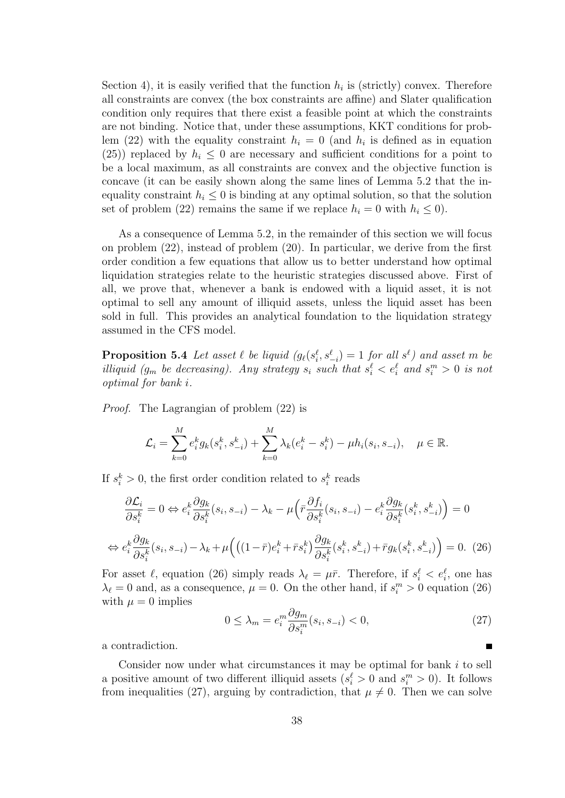Section 4), it is easily verified that the function  $h_i$  is (strictly) convex. Therefore all constraints are convex (the box constraints are affine) and Slater qualification condition only requires that there exist a feasible point at which the constraints are not binding. Notice that, under these assumptions, KKT conditions for problem (22) with the equality constraint  $h_i = 0$  (and  $h_i$  is defined as in equation (25)) replaced by  $h_i \leq 0$  are necessary and sufficient conditions for a point to be a local maximum, as all constraints are convex and the objective function is concave (it can be easily shown along the same lines of Lemma 5.2 that the inequality constraint  $h_i \leq 0$  is binding at any optimal solution, so that the solution set of problem (22) remains the same if we replace  $h_i = 0$  with  $h_i \leq 0$ .

As a consequence of Lemma 5.2, in the remainder of this section we will focus on problem (22), instead of problem (20). In particular, we derive from the first order condition a few equations that allow us to better understand how optimal liquidation strategies relate to the heuristic strategies discussed above. First of all, we prove that, whenever a bank is endowed with a liquid asset, it is not optimal to sell any amount of illiquid assets, unless the liquid asset has been sold in full. This provides an analytical foundation to the liquidation strategy assumed in the CFS model.

**Proposition 5.4** Let asset  $\ell$  be liquid  $(g_{\ell}(s_i^{\ell}, s_{-i}^{\ell}) = 1$  for all  $s^{\ell})$  and asset m be illiquid (g<sub>m</sub> be decreasing). Any strategy  $s_i$  such that  $s_i^{\ell} < e_i^{\ell}$  and  $s_i^m > 0$  is not optimal for bank i.

Proof. The Lagrangian of problem (22) is

$$
\mathcal{L}_i = \sum_{k=0}^M e_i^k g_k(s_i^k, s_{-i}^k) + \sum_{k=0}^M \lambda_k (e_i^k - s_i^k) - \mu h_i(s_i, s_{-i}), \quad \mu \in \mathbb{R}.
$$

If  $s_i^k > 0$ , the first order condition related to  $s_i^k$  reads

$$
\frac{\partial \mathcal{L}_i}{\partial s_i^k} = 0 \Leftrightarrow e_i^k \frac{\partial g_k}{\partial s_i^k} (s_i, s_{-i}) - \lambda_k - \mu \left( \bar{r} \frac{\partial f_i}{\partial s_i^k} (s_i, s_{-i}) - e_i^k \frac{\partial g_k}{\partial s_i^k} (s_i^k, s_{-i}^k) \right) = 0
$$
  

$$
\Leftrightarrow e_i^k \frac{\partial g_k}{\partial s_i^k} (s_i, s_{-i}) - \lambda_k + \mu \left( \left( (1 - \bar{r}) e_i^k + \bar{r} s_i^k \right) \frac{\partial g_k}{\partial s_i^k} (s_i^k, s_{-i}^k) + \bar{r} g_k (s_i^k, s_{-i}^k) \right) = 0. \tag{26}
$$

For asset  $\ell$ , equation (26) simply reads  $\lambda_{\ell} = \mu \bar{r}$ . Therefore, if  $s_i^{\ell} < e_i^{\ell}$ , one has  $\lambda_{\ell} = 0$  and, as a consequence,  $\mu = 0$ . On the other hand, if  $s_i^m > 0$  equation (26) with  $\mu = 0$  implies

$$
0 \le \lambda_m = e_i^m \frac{\partial g_m}{\partial s_i^m} (s_i, s_{-i}) < 0,\tag{27}
$$

a contradiction.

Consider now under what circumstances it may be optimal for bank i to sell a positive amount of two different illiquid assets  $(s_i^{\ell} > 0$  and  $s_i^m > 0)$ . It follows from inequalities (27), arguing by contradiction, that  $\mu \neq 0$ . Then we can solve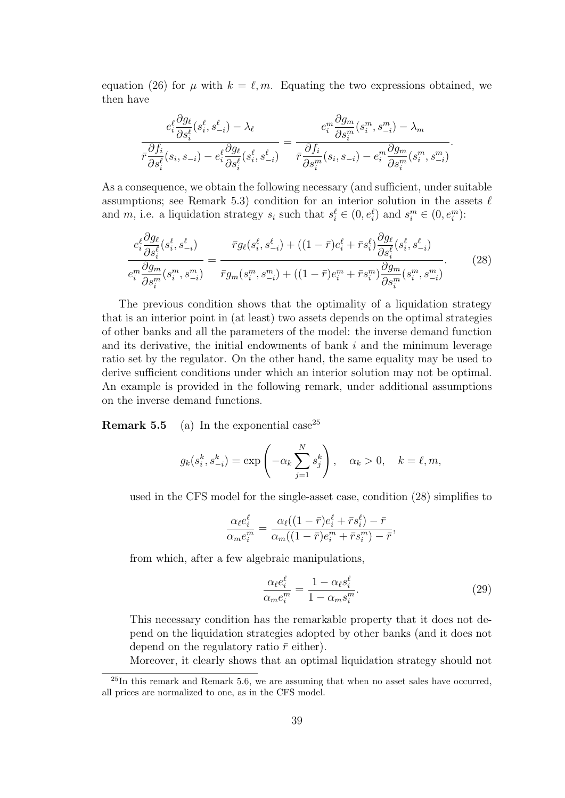equation (26) for  $\mu$  with  $k = \ell, m$ . Equating the two expressions obtained, we then have

$$
\frac{e_i^{\ell} \frac{\partial g_{\ell}}{\partial s_i^{\ell}} (s_i^{\ell}, s_{-i}^{\ell}) - \lambda_{\ell}}{\overline{r} \frac{\partial f_i}{\partial s_i^{\ell}} (s_i, s_{-i}) - e_i^{\ell} \frac{\partial g_{\ell}}{\partial s_i^{\ell}} (s_i^{\ell}, s_{-i}^{\ell})} = \frac{e_i^m \frac{\partial g_m}{\partial s_i^m} (s_i^m, s_{-i}^m) - \lambda_m}{\overline{r} \frac{\partial f_i}{\partial s_i^m} (s_i, s_{-i}) - e_i^m \frac{\partial g_m}{\partial s_i^m} (s_i^m, s_{-i}^m)}
$$

.

As a consequence, we obtain the following necessary (and sufficient, under suitable assumptions; see Remark 5.3) condition for an interior solution in the assets  $\ell$ and m, i.e. a liquidation strategy  $s_i$  such that  $s_i^{\ell} \in (0, e_i^{\ell})$  and  $s_i^m \in (0, e_i^m)$ :

$$
\frac{e_i^{\ell} \frac{\partial g_{\ell}}{\partial s_i^{\ell}}(s_i^{\ell}, s_{-i}^{\ell})}{e_i^m \frac{\partial g_m}{\partial s_i^m}(s_i^m, s_{-i}^m)} = \frac{\bar{r}g_{\ell}(s_i^{\ell}, s_{-i}^{\ell}) + ((1 - \bar{r})e_i^{\ell} + \bar{r}s_i^{\ell}) \frac{\partial g_{\ell}}{\partial s_i^{\ell}}(s_i^{\ell}, s_{-i}^{\ell})}{\bar{r}g_m(s_i^m, s_{-i}^m) + ((1 - \bar{r})e_i^m + \bar{r}s_i^m) \frac{\partial g_m}{\partial s_i^m}(s_i^m, s_{-i}^m)}.
$$
(28)

The previous condition shows that the optimality of a liquidation strategy that is an interior point in (at least) two assets depends on the optimal strategies of other banks and all the parameters of the model: the inverse demand function and its derivative, the initial endowments of bank  $i$  and the minimum leverage ratio set by the regulator. On the other hand, the same equality may be used to derive sufficient conditions under which an interior solution may not be optimal. An example is provided in the following remark, under additional assumptions on the inverse demand functions.

**Remark 5.5** (a) In the exponential case<sup>25</sup>

$$
g_k(s_i^k, s_{-i}^k) = \exp\left(-\alpha_k \sum_{j=1}^N s_j^k\right), \quad \alpha_k > 0, \quad k = \ell, m,
$$

used in the CFS model for the single-asset case, condition (28) simplifies to

$$
\frac{\alpha_{\ell}e_i^{\ell}}{\alpha_m e_i^m} = \frac{\alpha_{\ell}((1-\bar{r})e_i^{\ell} + \bar{r}s_i^{\ell}) - \bar{r}}{\alpha_m((1-\bar{r})e_i^m + \bar{r}s_i^m) - \bar{r}},
$$

from which, after a few algebraic manipulations,

$$
\frac{\alpha_{\ell}e_i^{\ell}}{\alpha_m e_i^m} = \frac{1 - \alpha_{\ell}s_i^{\ell}}{1 - \alpha_m s_i^m}.
$$
\n(29)

This necessary condition has the remarkable property that it does not depend on the liquidation strategies adopted by other banks (and it does not depend on the regulatory ratio  $\bar{r}$  either).

Moreover, it clearly shows that an optimal liquidation strategy should not

 $^{25}$ In this remark and Remark 5.6, we are assuming that when no asset sales have occurred, all prices are normalized to one, as in the CFS model.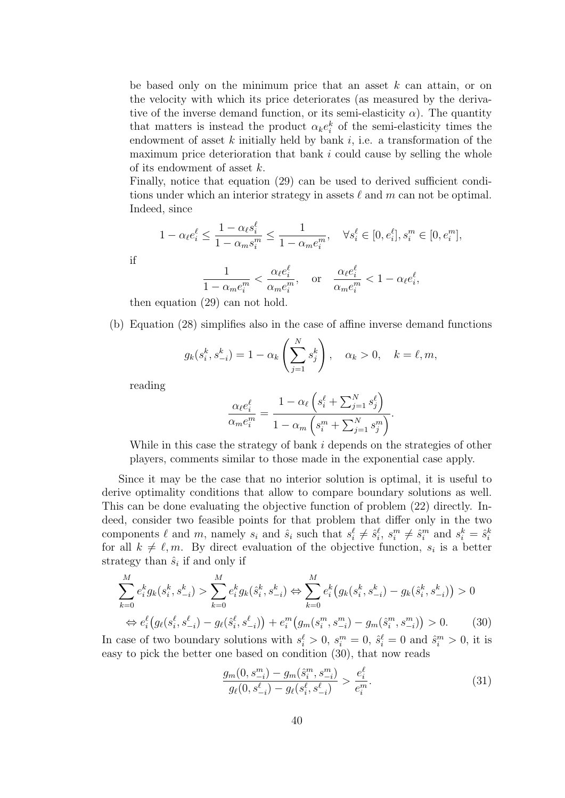be based only on the minimum price that an asset  $k$  can attain, or on the velocity with which its price deteriorates (as measured by the derivative of the inverse demand function, or its semi-elasticity  $\alpha$ ). The quantity that matters is instead the product  $\alpha_k e_i^k$  of the semi-elasticity times the endowment of asset  $k$  initially held by bank  $i$ , i.e. a transformation of the maximum price deterioration that bank  $i$  could cause by selling the whole of its endowment of asset k.

Finally, notice that equation (29) can be used to derived sufficient conditions under which an interior strategy in assets  $\ell$  and m can not be optimal. Indeed, since

$$
1 - \alpha_{\ell} e_i^{\ell} \le \frac{1 - \alpha_{\ell} s_i^{\ell}}{1 - \alpha_m s_i^m} \le \frac{1}{1 - \alpha_m e_i^m}, \quad \forall s_i^{\ell} \in [0, e_i^{\ell}], s_i^m \in [0, e_i^m],
$$

if

$$
\frac{1}{1 - \alpha_m e_i^m} < \frac{\alpha_\ell e_i^\ell}{\alpha_m e_i^m}, \quad \text{or} \quad \frac{\alpha_\ell e_i^\ell}{\alpha_m e_i^m} < 1 - \alpha_\ell e_i^\ell,
$$

then equation (29) can not hold.

(b) Equation (28) simplifies also in the case of affine inverse demand functions

$$
g_k(s_i^k, s_{-i}^k) = 1 - \alpha_k \left( \sum_{j=1}^N s_j^k \right), \quad \alpha_k > 0, \quad k = \ell, m,
$$

reading

$$
\frac{\alpha_{\ell}e_i^{\ell}}{\alpha_m e_i^m} = \frac{1 - \alpha_{\ell}\left(s_i^{\ell} + \sum_{j=1}^N s_j^{\ell}\right)}{1 - \alpha_m\left(s_i^m + \sum_{j=1}^N s_j^m\right)}.
$$

While in this case the strategy of bank  $i$  depends on the strategies of other players, comments similar to those made in the exponential case apply.

Since it may be the case that no interior solution is optimal, it is useful to derive optimality conditions that allow to compare boundary solutions as well. This can be done evaluating the objective function of problem (22) directly. Indeed, consider two feasible points for that problem that differ only in the two components  $\ell$  and  $m$ , namely  $s_i$  and  $\hat{s}_i$  such that  $s_i^{\ell} \neq \hat{s}_i^{\ell}$ ,  $s_i^m \neq \hat{s}_i^m$  and  $s_i^k = \hat{s}_i^k$ for all  $k \neq \ell, m$ . By direct evaluation of the objective function,  $s_i$  is a better strategy than  $\hat{s}_i$  if and only if

$$
\sum_{k=0}^{M} e_i^k g_k(s_i^k, s_{-i}^k) > \sum_{k=0}^{M} e_i^k g_k(\hat{s}_i^k, s_{-i}^k) \Leftrightarrow \sum_{k=0}^{M} e_i^k \big(g_k(s_i^k, s_{-i}^k) - g_k(\hat{s}_i^k, s_{-i}^k)\big) > 0
$$
\n
$$
\Leftrightarrow e_i^{\ell} \big(g_{\ell}(s_i^{\ell}, s_{-i}^{\ell}) - g_{\ell}(\hat{s}_i^{\ell}, s_{-i}^{\ell})\big) + e_i^m \big(g_m(s_i^m, s_{-i}^m) - g_m(\hat{s}_i^m, s_{-i}^m)\big) > 0. \tag{30}
$$

In case of two boundary solutions with  $s_i^{\ell} > 0$ ,  $s_i^m = 0$ ,  $\hat{s}_i^{\ell} = 0$  and  $\hat{s}_i^m > 0$ , it is easy to pick the better one based on condition (30), that now reads

$$
\frac{g_m(0, s_{-i}^m) - g_m(\hat{s}_i^m, s_{-i}^m)}{g_\ell(0, s_{-i}^\ell) - g_\ell(s_i^\ell, s_{-i}^\ell)} > \frac{e_i^\ell}{e_i^m}.
$$
\n(31)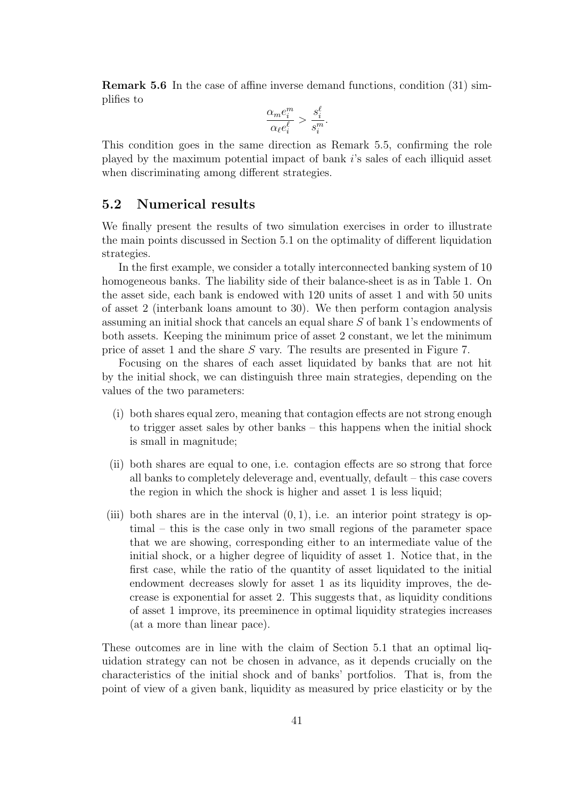Remark 5.6 In the case of affine inverse demand functions, condition (31) simplifies to

$$
\frac{\alpha_m e_i^m}{\alpha_\ell e_i^\ell} > \frac{s_i^\ell}{s_i^m}.
$$

This condition goes in the same direction as Remark 5.5, confirming the role played by the maximum potential impact of bank i's sales of each illiquid asset when discriminating among different strategies.

#### 5.2 Numerical results

We finally present the results of two simulation exercises in order to illustrate the main points discussed in Section 5.1 on the optimality of different liquidation strategies.

In the first example, we consider a totally interconnected banking system of 10 homogeneous banks. The liability side of their balance-sheet is as in Table 1. On the asset side, each bank is endowed with 120 units of asset 1 and with 50 units of asset 2 (interbank loans amount to 30). We then perform contagion analysis assuming an initial shock that cancels an equal share S of bank 1's endowments of both assets. Keeping the minimum price of asset 2 constant, we let the minimum price of asset 1 and the share S vary. The results are presented in Figure 7.

Focusing on the shares of each asset liquidated by banks that are not hit by the initial shock, we can distinguish three main strategies, depending on the values of the two parameters:

- (i) both shares equal zero, meaning that contagion effects are not strong enough to trigger asset sales by other banks – this happens when the initial shock is small in magnitude;
- (ii) both shares are equal to one, i.e. contagion effects are so strong that force all banks to completely deleverage and, eventually, default – this case covers the region in which the shock is higher and asset 1 is less liquid;
- (iii) both shares are in the interval  $(0, 1)$ , i.e. an interior point strategy is optimal – this is the case only in two small regions of the parameter space that we are showing, corresponding either to an intermediate value of the initial shock, or a higher degree of liquidity of asset 1. Notice that, in the first case, while the ratio of the quantity of asset liquidated to the initial endowment decreases slowly for asset 1 as its liquidity improves, the decrease is exponential for asset 2. This suggests that, as liquidity conditions of asset 1 improve, its preeminence in optimal liquidity strategies increases (at a more than linear pace).

These outcomes are in line with the claim of Section 5.1 that an optimal liquidation strategy can not be chosen in advance, as it depends crucially on the characteristics of the initial shock and of banks' portfolios. That is, from the point of view of a given bank, liquidity as measured by price elasticity or by the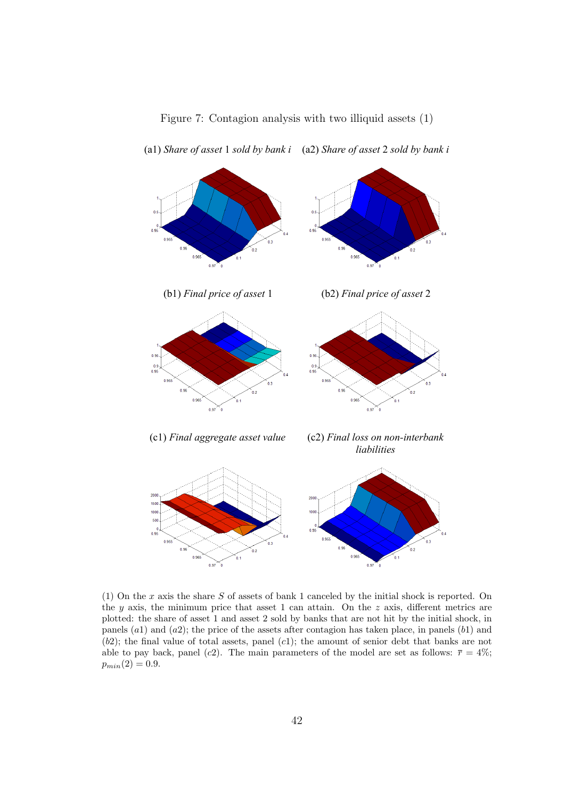

(1) On the  $x$  axis the share  $S$  of assets of bank 1 canceled by the initial shock is reported. On the y axis, the minimum price that asset 1 can attain. On the z axis, different metrics are plotted: the share of asset 1 and asset 2 sold by banks that are not hit by the initial shock, in panels  $(a1)$  and  $(a2)$ ; the price of the assets after contagion has taken place, in panels  $(b1)$  and  $(b2)$ ; the final value of total assets, panel  $(c1)$ ; the amount of senior debt that banks are not able to pay back, panel (c2). The main parameters of the model are set as follows:  $\bar{r} = 4\%$ ;  $p_{min}(2) = 0.9.$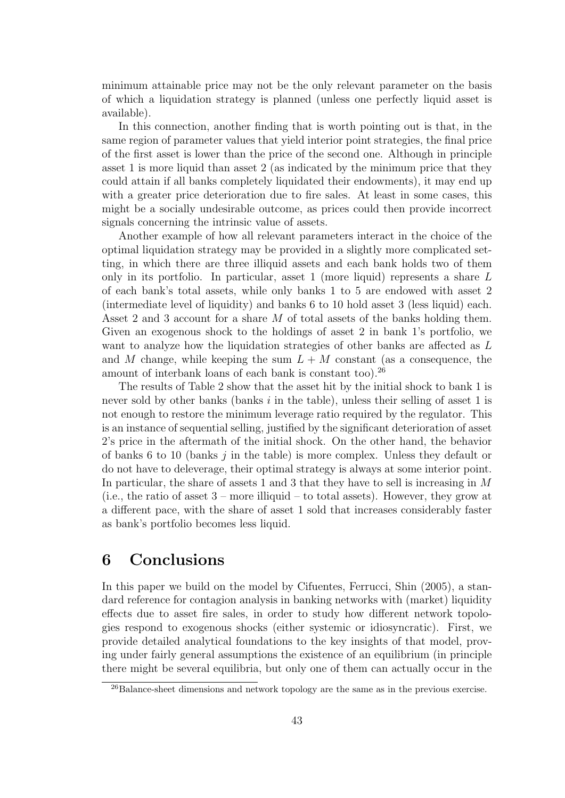minimum attainable price may not be the only relevant parameter on the basis of which a liquidation strategy is planned (unless one perfectly liquid asset is available).

In this connection, another finding that is worth pointing out is that, in the same region of parameter values that yield interior point strategies, the final price of the first asset is lower than the price of the second one. Although in principle asset 1 is more liquid than asset 2 (as indicated by the minimum price that they could attain if all banks completely liquidated their endowments), it may end up with a greater price deterioration due to fire sales. At least in some cases, this might be a socially undesirable outcome, as prices could then provide incorrect signals concerning the intrinsic value of assets.

Another example of how all relevant parameters interact in the choice of the optimal liquidation strategy may be provided in a slightly more complicated setting, in which there are three illiquid assets and each bank holds two of them only in its portfolio. In particular, asset 1 (more liquid) represents a share L of each bank's total assets, while only banks 1 to 5 are endowed with asset 2 (intermediate level of liquidity) and banks 6 to 10 hold asset 3 (less liquid) each. Asset 2 and 3 account for a share M of total assets of the banks holding them. Given an exogenous shock to the holdings of asset 2 in bank 1's portfolio, we want to analyze how the liquidation strategies of other banks are affected as L and M change, while keeping the sum  $L + M$  constant (as a consequence, the amount of interbank loans of each bank is constant too).<sup>26</sup>

The results of Table 2 show that the asset hit by the initial shock to bank 1 is never sold by other banks (banks  $i$  in the table), unless their selling of asset 1 is not enough to restore the minimum leverage ratio required by the regulator. This is an instance of sequential selling, justified by the significant deterioration of asset 2's price in the aftermath of the initial shock. On the other hand, the behavior of banks 6 to 10 (banks  $j$  in the table) is more complex. Unless they default or do not have to deleverage, their optimal strategy is always at some interior point. In particular, the share of assets 1 and 3 that they have to sell is increasing in M (i.e., the ratio of asset  $3$  – more illiquid – to total assets). However, they grow at a different pace, with the share of asset 1 sold that increases considerably faster as bank's portfolio becomes less liquid.

### 6 Conclusions

In this paper we build on the model by Cifuentes, Ferrucci, Shin (2005), a standard reference for contagion analysis in banking networks with (market) liquidity effects due to asset fire sales, in order to study how different network topologies respond to exogenous shocks (either systemic or idiosyncratic). First, we provide detailed analytical foundations to the key insights of that model, proving under fairly general assumptions the existence of an equilibrium (in principle there might be several equilibria, but only one of them can actually occur in the

<sup>&</sup>lt;sup>26</sup>Balance-sheet dimensions and network topology are the same as in the previous exercise.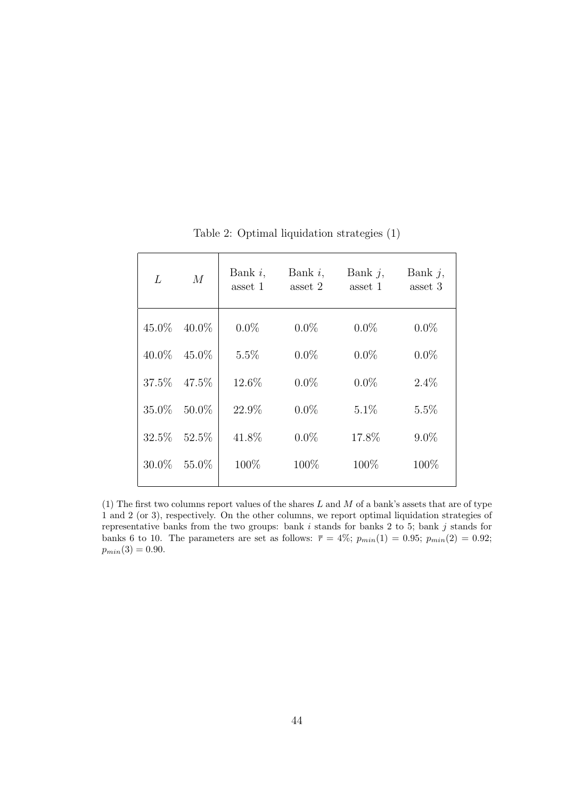| L        | M        | Bank $i$ ,<br>asset 1 | Bank $i$ ,<br>asset 2 | Bank $j$ ,<br>asset 1 | Bank $j$ ,<br>asset 3 |
|----------|----------|-----------------------|-----------------------|-----------------------|-----------------------|
| 45.0%    | $40.0\%$ | $0.0\%$               | $0.0\%$               | $0.0\%$               | $0.0\%$               |
| 40.0%    | 45.0%    | 5.5%                  | $0.0\%$               | $0.0\%$               | $0.0\%$               |
| 37.5%    | 47.5%    | 12.6%                 | $0.0\%$               | $0.0\%$               | $2.4\%$               |
| 35.0%    | 50.0%    | 22.9%                 | $0.0\%$               | 5.1%                  | 5.5%                  |
| 32.5%    | 52.5%    | 41.8%                 | $0.0\%$               | 17.8%                 | $9.0\%$               |
| $30.0\%$ | 55.0%    | 100%                  | 100%                  | 100%                  | 100%                  |

Table 2: Optimal liquidation strategies (1)

(1) The first two columns report values of the shares  $L$  and  $M$  of a bank's assets that are of type 1 and 2 (or 3), respectively. On the other columns, we report optimal liquidation strategies of representative banks from the two groups: bank i stands for banks 2 to 5; bank j stands for banks 6 to 10. The parameters are set as follows:  $\bar{r} = 4\%; p_{min}(1) = 0.95; p_{min}(2) = 0.92;$  $p_{min}(3) = 0.90.$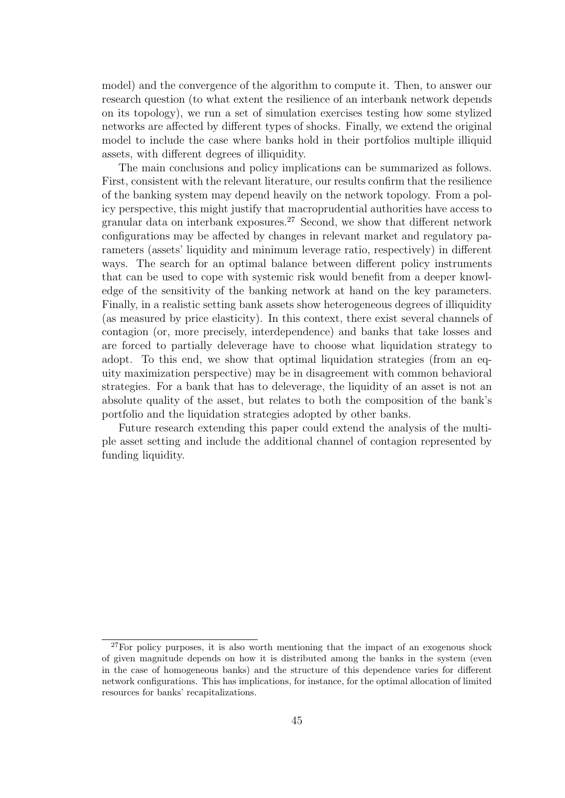model) and the convergence of the algorithm to compute it. Then, to answer our research question (to what extent the resilience of an interbank network depends on its topology), we run a set of simulation exercises testing how some stylized networks are affected by different types of shocks. Finally, we extend the original model to include the case where banks hold in their portfolios multiple illiquid assets, with different degrees of illiquidity.

The main conclusions and policy implications can be summarized as follows. First, consistent with the relevant literature, our results confirm that the resilience of the banking system may depend heavily on the network topology. From a policy perspective, this might justify that macroprudential authorities have access to granular data on interbank exposures.<sup>27</sup> Second, we show that different network configurations may be affected by changes in relevant market and regulatory parameters (assets' liquidity and minimum leverage ratio, respectively) in different ways. The search for an optimal balance between different policy instruments that can be used to cope with systemic risk would benefit from a deeper knowledge of the sensitivity of the banking network at hand on the key parameters. Finally, in a realistic setting bank assets show heterogeneous degrees of illiquidity (as measured by price elasticity). In this context, there exist several channels of contagion (or, more precisely, interdependence) and banks that take losses and are forced to partially deleverage have to choose what liquidation strategy to adopt. To this end, we show that optimal liquidation strategies (from an equity maximization perspective) may be in disagreement with common behavioral strategies. For a bank that has to deleverage, the liquidity of an asset is not an absolute quality of the asset, but relates to both the composition of the bank's portfolio and the liquidation strategies adopted by other banks.

Future research extending this paper could extend the analysis of the multiple asset setting and include the additional channel of contagion represented by funding liquidity.

 $27$ For policy purposes, it is also worth mentioning that the impact of an exogenous shock of given magnitude depends on how it is distributed among the banks in the system (even in the case of homogeneous banks) and the structure of this dependence varies for different network configurations. This has implications, for instance, for the optimal allocation of limited resources for banks' recapitalizations.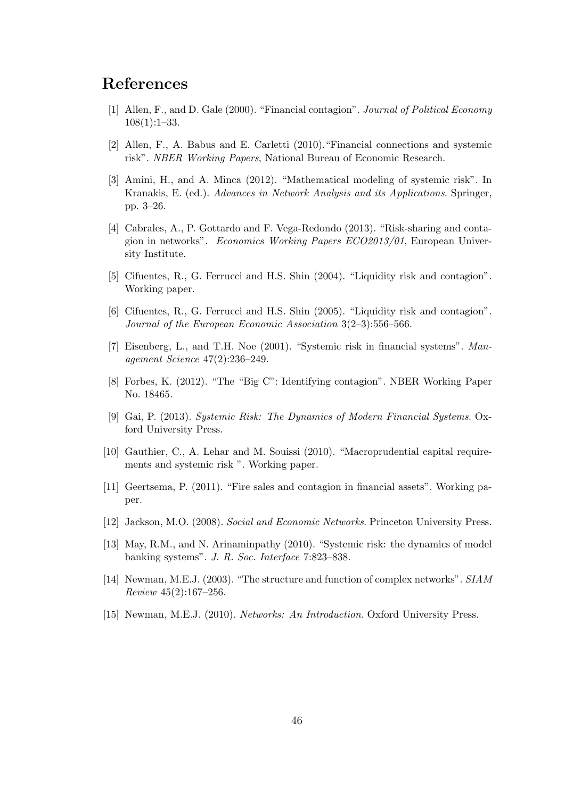### References

- [1] Allen, F., and D. Gale (2000). "Financial contagion". Journal of Political Economy 108(1):1–33.
- [2] Allen, F., A. Babus and E. Carletti (2010)."Financial connections and systemic risk". NBER Working Papers, National Bureau of Economic Research.
- [3] Amini, H., and A. Minca (2012). "Mathematical modeling of systemic risk". In Kranakis, E. (ed.). Advances in Network Analysis and its Applications. Springer, pp. 3–26.
- [4] Cabrales, A., P. Gottardo and F. Vega-Redondo (2013). "Risk-sharing and contagion in networks". Economics Working Papers ECO2013/01, European University Institute.
- [5] Cifuentes, R., G. Ferrucci and H.S. Shin (2004). "Liquidity risk and contagion". Working paper.
- [6] Cifuentes, R., G. Ferrucci and H.S. Shin (2005). "Liquidity risk and contagion". Journal of the European Economic Association 3(2–3):556–566.
- [7] Eisenberg, L., and T.H. Noe (2001). "Systemic risk in financial systems". Management Science 47(2):236–249.
- [8] Forbes, K. (2012). "The "Big C": Identifying contagion". NBER Working Paper No. 18465.
- [9] Gai, P. (2013). Systemic Risk: The Dynamics of Modern Financial Systems. Oxford University Press.
- [10] Gauthier, C., A. Lehar and M. Souissi (2010). "Macroprudential capital requirements and systemic risk ". Working paper.
- [11] Geertsema, P. (2011). "Fire sales and contagion in financial assets". Working paper.
- [12] Jackson, M.O. (2008). Social and Economic Networks. Princeton University Press.
- [13] May, R.M., and N. Arinaminpathy (2010). "Systemic risk: the dynamics of model banking systems". J. R. Soc. Interface 7:823–838.
- [14] Newman, M.E.J. (2003). "The structure and function of complex networks". SIAM Review 45(2):167–256.
- [15] Newman, M.E.J. (2010). Networks: An Introduction. Oxford University Press.